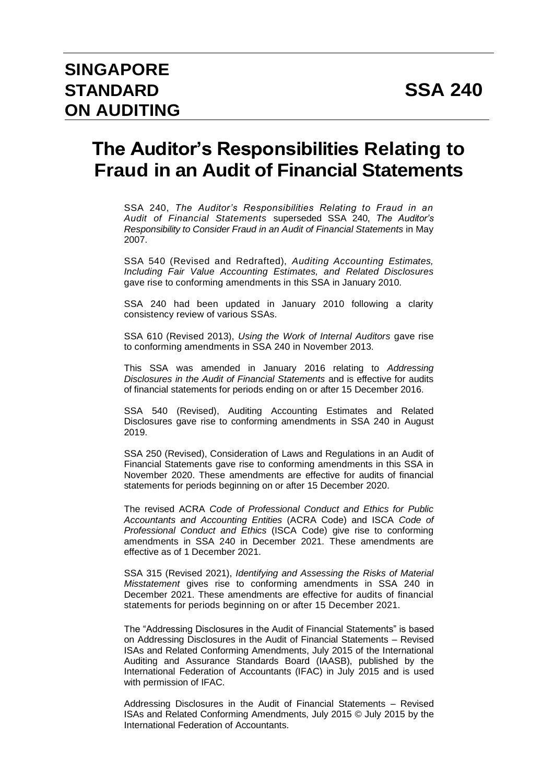# **The Auditor's Responsibilities Relating to Fraud in an Audit of Financial Statements**

SSA 240, *The Auditor's Responsibilities Relating to Fraud in an Audit of Financial Statements* superseded SSA 240, *The Auditor's Responsibility to Consider Fraud in an Audit of Financial Statements* in May 2007.

SSA 540 (Revised and Redrafted), *Auditing Accounting Estimates, Including Fair Value Accounting Estimates, and Related Disclosures* gave rise to conforming amendments in this SSA in January 2010.

SSA 240 had been updated in January 2010 following a clarity consistency review of various SSAs.

SSA 610 (Revised 2013), *Using the Work of Internal Auditors* gave rise to conforming amendments in SSA 240 in November 2013.

This SSA was amended in January 2016 relating to *Addressing Disclosures in the Audit of Financial Statements* and is effective for audits of financial statements for periods ending on or after 15 December 2016.

SSA 540 (Revised), Auditing Accounting Estimates and Related Disclosures gave rise to conforming amendments in SSA 240 in August 2019.

SSA 250 (Revised), Consideration of Laws and Regulations in an Audit of Financial Statements gave rise to conforming amendments in this SSA in November 2020. These amendments are effective for audits of financial statements for periods beginning on or after 15 December 2020.

The revised ACRA *Code of Professional Conduct and Ethics for Public Accountants and Accounting Entities* (ACRA Code) and ISCA *Code of Professional Conduct and Ethics* (ISCA Code) give rise to conforming amendments in SSA 240 in December 2021. These amendments are effective as of 1 December 2021.

SSA 315 (Revised 2021), *Identifying and Assessing the Risks of Material Misstatement* gives rise to conforming amendments in SSA 240 in December 2021. These amendments are effective for audits of financial statements for periods beginning on or after 15 December 2021.

The "Addressing Disclosures in the Audit of Financial Statements" is based on Addressing Disclosures in the Audit of Financial Statements – Revised ISAs and Related Conforming Amendments, July 2015 of the International Auditing and Assurance Standards Board (IAASB), published by the International Federation of Accountants (IFAC) in July 2015 and is used with permission of IFAC.

Addressing Disclosures in the Audit of Financial Statements – Revised ISAs and Related Conforming Amendments, July 2015 © July 2015 by the International Federation of Accountants.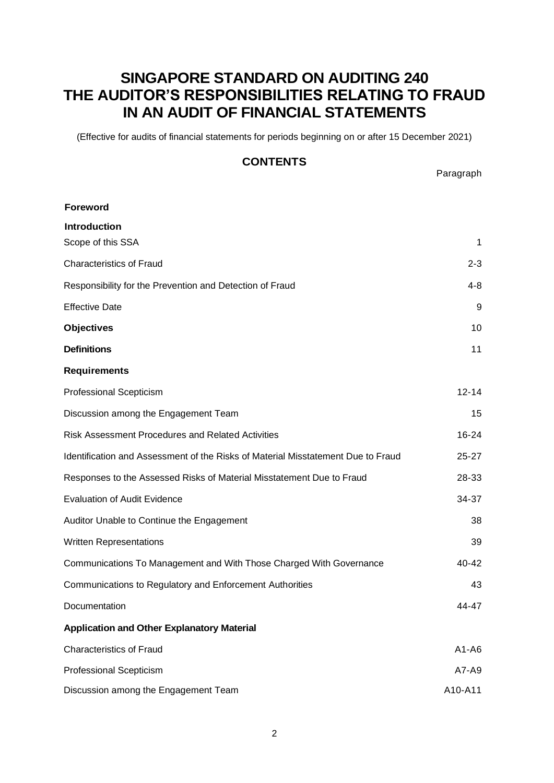# **SINGAPORE STANDARD ON AUDITING 240 THE AUDITOR'S RESPONSIBILITIES RELATING TO FRAUD IN AN AUDIT OF FINANCIAL STATEMENTS**

(Effective for audits of financial statements for periods beginning on or after 15 December 2021)

# **CONTENTS**

Paragraph

| <b>Foreword</b>                                                                  |           |
|----------------------------------------------------------------------------------|-----------|
| <b>Introduction</b>                                                              |           |
| Scope of this SSA                                                                | 1         |
| <b>Characteristics of Fraud</b>                                                  | $2 - 3$   |
| Responsibility for the Prevention and Detection of Fraud                         | $4 - 8$   |
| <b>Effective Date</b>                                                            | 9         |
| <b>Objectives</b>                                                                | 10        |
| <b>Definitions</b>                                                               | 11        |
| <b>Requirements</b>                                                              |           |
| <b>Professional Scepticism</b>                                                   | $12 - 14$ |
| Discussion among the Engagement Team                                             | 15        |
| <b>Risk Assessment Procedures and Related Activities</b>                         | $16 - 24$ |
| Identification and Assessment of the Risks of Material Misstatement Due to Fraud | $25 - 27$ |
| Responses to the Assessed Risks of Material Misstatement Due to Fraud            | 28-33     |
| <b>Evaluation of Audit Evidence</b>                                              | 34-37     |
| Auditor Unable to Continue the Engagement                                        | 38        |
| <b>Written Representations</b>                                                   | 39        |
| Communications To Management and With Those Charged With Governance              | $40 - 42$ |
| Communications to Regulatory and Enforcement Authorities                         | 43        |
| Documentation                                                                    | 44-47     |
| <b>Application and Other Explanatory Material</b>                                |           |
| <b>Characteristics of Fraud</b>                                                  | $A1 - A6$ |
| <b>Professional Scepticism</b>                                                   | A7-A9     |
| Discussion among the Engagement Team                                             | A10-A11   |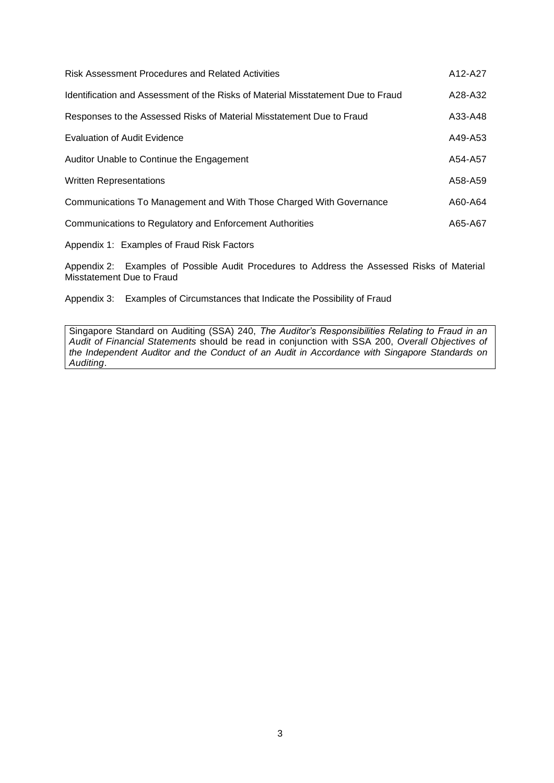| <b>Risk Assessment Procedures and Related Activities</b>                         | A12-A27 |
|----------------------------------------------------------------------------------|---------|
| Identification and Assessment of the Risks of Material Misstatement Due to Fraud | A28-A32 |
| Responses to the Assessed Risks of Material Misstatement Due to Fraud            | A33-A48 |
| <b>Evaluation of Audit Evidence</b>                                              | A49-A53 |
| Auditor Unable to Continue the Engagement                                        | A54-A57 |
| <b>Written Representations</b>                                                   | A58-A59 |
| Communications To Management and With Those Charged With Governance              | A60-A64 |
| <b>Communications to Regulatory and Enforcement Authorities</b>                  | A65-A67 |
| Appendix 1: Examples of Fraud Risk Factors                                       |         |

Appendix 2: Examples of Possible Audit Procedures to Address the Assessed Risks of Material Misstatement Due to Fraud

Appendix 3: Examples of Circumstances that Indicate the Possibility of Fraud

Singapore Standard on Auditing (SSA) 240, *The Auditor's Responsibilities Relating to Fraud in an Audit of Financial Statements* should be read in conjunction with SSA 200, *Overall Objectives of the Independent Auditor and the Conduct of an Audit in Accordance with Singapore Standards on Auditing*.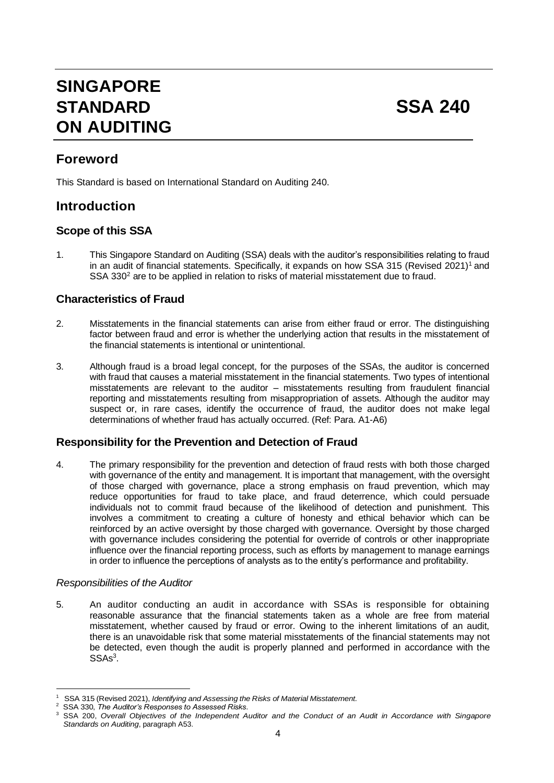# **SINGAPORE STANDARD SSA 240 ON AUDITING**

# **Foreword**

This Standard is based on International Standard on Auditing 240.

# **Introduction**

# **Scope of this SSA**

1. This Singapore Standard on Auditing (SSA) deals with the auditor's responsibilities relating to fraud in an audit of financial statements. Specifically, it expands on how SSA 315 (Revised 2021) <sup>1</sup> and SSA 330<sup>2</sup> are to be applied in relation to risks of material misstatement due to fraud.

# **Characteristics of Fraud**

- 2. Misstatements in the financial statements can arise from either fraud or error. The distinguishing factor between fraud and error is whether the underlying action that results in the misstatement of the financial statements is intentional or unintentional.
- 3. Although fraud is a broad legal concept, for the purposes of the SSAs, the auditor is concerned with fraud that causes a material misstatement in the financial statements. Two types of intentional misstatements are relevant to the auditor – misstatements resulting from fraudulent financial reporting and misstatements resulting from misappropriation of assets. Although the auditor may suspect or, in rare cases, identify the occurrence of fraud, the auditor does not make legal determinations of whether fraud has actually occurred. (Ref: Para. A1-A6)

# **Responsibility for the Prevention and Detection of Fraud**

4. The primary responsibility for the prevention and detection of fraud rests with both those charged with governance of the entity and management. It is important that management, with the oversight of those charged with governance, place a strong emphasis on fraud prevention, which may reduce opportunities for fraud to take place, and fraud deterrence, which could persuade individuals not to commit fraud because of the likelihood of detection and punishment. This involves a commitment to creating a culture of honesty and ethical behavior which can be reinforced by an active oversight by those charged with governance. Oversight by those charged with governance includes considering the potential for override of controls or other inappropriate influence over the financial reporting process, such as efforts by management to manage earnings in order to influence the perceptions of analysts as to the entity's performance and profitability.

# *Responsibilities of the Auditor*

5. An auditor conducting an audit in accordance with SSAs is responsible for obtaining reasonable assurance that the financial statements taken as a whole are free from material misstatement, whether caused by fraud or error. Owing to the inherent limitations of an audit, there is an unavoidable risk that some material misstatements of the financial statements may not be detected, even though the audit is properly planned and performed in accordance with the  $SSAs<sup>3</sup>$ .

<sup>1</sup> SSA 315 (Revised 2021), *Identifying and Assessing the Risks of Material Misstatement.*

<sup>2</sup> SSA 330, *The Auditor's Responses to Assessed Risks*.

<sup>3</sup> SSA 200, *Overall Objectives of the Independent Auditor and the Conduct of an Audit in Accordance with Singapore Standards on Auditing*, paragraph A53.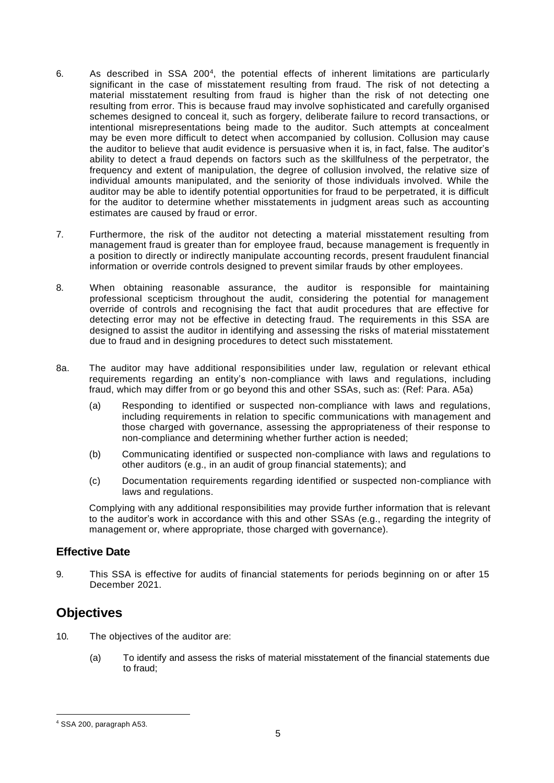- 6. As described in SSA 200<sup>4</sup>, the potential effects of inherent limitations are particularly significant in the case of misstatement resulting from fraud. The risk of not detecting a material misstatement resulting from fraud is higher than the risk of not detecting one resulting from error. This is because fraud may involve sophisticated and carefully organised schemes designed to conceal it, such as forgery, deliberate failure to record transactions, or intentional misrepresentations being made to the auditor. Such attempts at concealment may be even more difficult to detect when accompanied by collusion. Collusion may cause the auditor to believe that audit evidence is persuasive when it is, in fact, false. The auditor's ability to detect a fraud depends on factors such as the skillfulness of the perpetrator, the frequency and extent of manipulation, the degree of collusion involved, the relative size of individual amounts manipulated, and the seniority of those individuals involved. While the auditor may be able to identify potential opportunities for fraud to be perpetrated, it is difficult for the auditor to determine whether misstatements in judgment areas such as accounting estimates are caused by fraud or error.
- 7. Furthermore, the risk of the auditor not detecting a material misstatement resulting from management fraud is greater than for employee fraud, because management is frequently in a position to directly or indirectly manipulate accounting records, present fraudulent financial information or override controls designed to prevent similar frauds by other employees.
- 8. When obtaining reasonable assurance, the auditor is responsible for maintaining professional scepticism throughout the audit, considering the potential for management override of controls and recognising the fact that audit procedures that are effective for detecting error may not be effective in detecting fraud. The requirements in this SSA are designed to assist the auditor in identifying and assessing the risks of material misstatement due to fraud and in designing procedures to detect such misstatement.
- 8a. The auditor may have additional responsibilities under law, regulation or relevant ethical requirements regarding an entity's non-compliance with laws and regulations, including fraud, which may differ from or go beyond this and other SSAs, such as: (Ref: Para. A5a)
	- (a) Responding to identified or suspected non-compliance with laws and regulations, including requirements in relation to specific communications with management and those charged with governance, assessing the appropriateness of their response to non-compliance and determining whether further action is needed;
	- (b) Communicating identified or suspected non-compliance with laws and regulations to other auditors (e.g., in an audit of group financial statements); and
	- (c) Documentation requirements regarding identified or suspected non-compliance with laws and regulations.

Complying with any additional responsibilities may provide further information that is relevant to the auditor's work in accordance with this and other SSAs (e.g., regarding the integrity of management or, where appropriate, those charged with governance).

# **Effective Date**

9. This SSA is effective for audits of financial statements for periods beginning on or after 15 December 2021.

# **Objectives**

- 10. The objectives of the auditor are:
	- (a) To identify and assess the risks of material misstatement of the financial statements due to fraud;

<sup>4</sup> SSA 200, paragraph A53.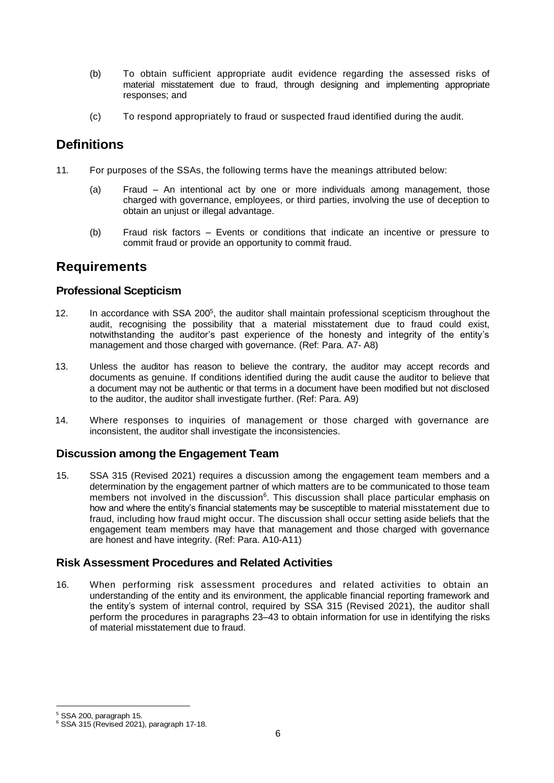- (b) To obtain sufficient appropriate audit evidence regarding the assessed risks of material misstatement due to fraud, through designing and implementing appropriate responses; and
- (c) To respond appropriately to fraud or suspected fraud identified during the audit.

# **Definitions**

- 11. For purposes of the SSAs, the following terms have the meanings attributed below:
	- (a) Fraud An intentional act by one or more individuals among management, those charged with governance, employees, or third parties, involving the use of deception to obtain an unjust or illegal advantage.
	- (b) Fraud risk factors Events or conditions that indicate an incentive or pressure to commit fraud or provide an opportunity to commit fraud.

# **Requirements**

# **Professional Scepticism**

- 12. In accordance with SSA 200<sup>5</sup>, the auditor shall maintain professional scepticism throughout the audit, recognising the possibility that a material misstatement due to fraud could exist, notwithstanding the auditor's past experience of the honesty and integrity of the entity's management and those charged with governance. (Ref: Para. A7- A8)
- 13. Unless the auditor has reason to believe the contrary, the auditor may accept records and documents as genuine. If conditions identified during the audit cause the auditor to believe that a document may not be authentic or that terms in a document have been modified but not disclosed to the auditor, the auditor shall investigate further. (Ref: Para. A9)
- 14. Where responses to inquiries of management or those charged with governance are inconsistent, the auditor shall investigate the inconsistencies.

# **Discussion among the Engagement Team**

15. SSA 315 (Revised 2021) requires a discussion among the engagement team members and a determination by the engagement partner of which matters are to be communicated to those team members not involved in the discussion<sup>6</sup>. This discussion shall place particular emphasis on how and where the entity's financial statements may be susceptible to material misstatement due to fraud, including how fraud might occur. The discussion shall occur setting aside beliefs that the engagement team members may have that management and those charged with governance are honest and have integrity. (Ref: Para. A10-A11)

# **Risk Assessment Procedures and Related Activities**

16. When performing risk assessment procedures and related activities to obtain an understanding of the entity and its environment, the applicable financial reporting framework and the entity's system of internal control, required by SSA 315 (Revised 2021), the auditor shall perform the procedures in paragraphs 23–43 to obtain information for use in identifying the risks of material misstatement due to fraud.

<sup>5</sup> SSA 200, paragraph 15.

<sup>&</sup>lt;sup>6</sup> SSA 315 (Revised 2021), paragraph 17-18.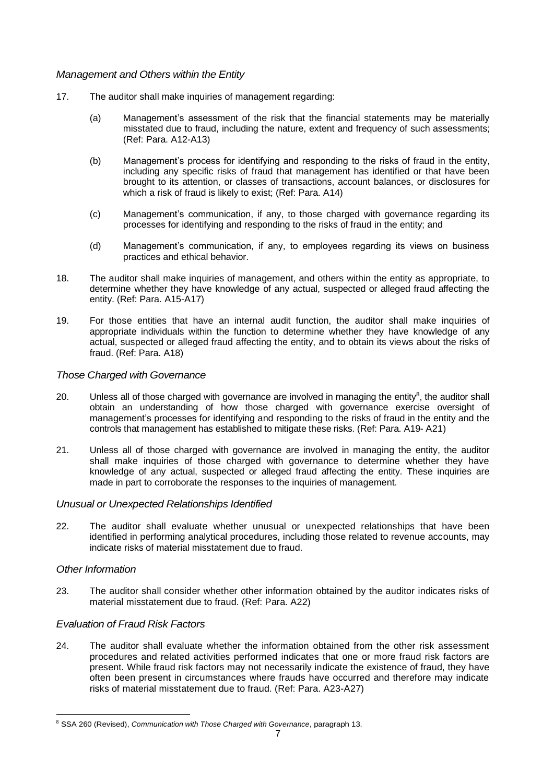#### *Management and Others within the Entity*

- 17. The auditor shall make inquiries of management regarding:
	- (a) Management's assessment of the risk that the financial statements may be materially misstated due to fraud, including the nature, extent and frequency of such assessments; (Ref: Para. A12-A13)
	- (b) Management's process for identifying and responding to the risks of fraud in the entity, including any specific risks of fraud that management has identified or that have been brought to its attention, or classes of transactions, account balances, or disclosures for which a risk of fraud is likely to exist; (Ref: Para. A14)
	- (c) Management's communication, if any, to those charged with governance regarding its processes for identifying and responding to the risks of fraud in the entity; and
	- (d) Management's communication, if any, to employees regarding its views on business practices and ethical behavior.
- 18. The auditor shall make inquiries of management, and others within the entity as appropriate, to determine whether they have knowledge of any actual, suspected or alleged fraud affecting the entity. (Ref: Para. A15-A17)
- 19. For those entities that have an internal audit function, the auditor shall make inquiries of appropriate individuals within the function to determine whether they have knowledge of any actual, suspected or alleged fraud affecting the entity, and to obtain its views about the risks of fraud. (Ref: Para. A18)

#### *Those Charged with Governance*

- 20. Unless all of those charged with governance are involved in managing the entity<sup>8</sup>, the auditor shall obtain an understanding of how those charged with governance exercise oversight of management's processes for identifying and responding to the risks of fraud in the entity and the controls that management has established to mitigate these risks. (Ref: Para. A19- A21)
- 21. Unless all of those charged with governance are involved in managing the entity, the auditor shall make inquiries of those charged with governance to determine whether they have knowledge of any actual, suspected or alleged fraud affecting the entity. These inquiries are made in part to corroborate the responses to the inquiries of management.

#### *Unusual or Unexpected Relationships Identified*

22. The auditor shall evaluate whether unusual or unexpected relationships that have been identified in performing analytical procedures, including those related to revenue accounts, may indicate risks of material misstatement due to fraud.

#### *Other Information*

23. The auditor shall consider whether other information obtained by the auditor indicates risks of material misstatement due to fraud. (Ref: Para. A22)

#### *Evaluation of Fraud Risk Factors*

24. The auditor shall evaluate whether the information obtained from the other risk assessment procedures and related activities performed indicates that one or more fraud risk factors are present. While fraud risk factors may not necessarily indicate the existence of fraud, they have often been present in circumstances where frauds have occurred and therefore may indicate risks of material misstatement due to fraud. (Ref: Para. A23-A27)

<sup>8</sup> SSA 260 (Revised), *Communication with Those Charged with Governance*, paragraph 13.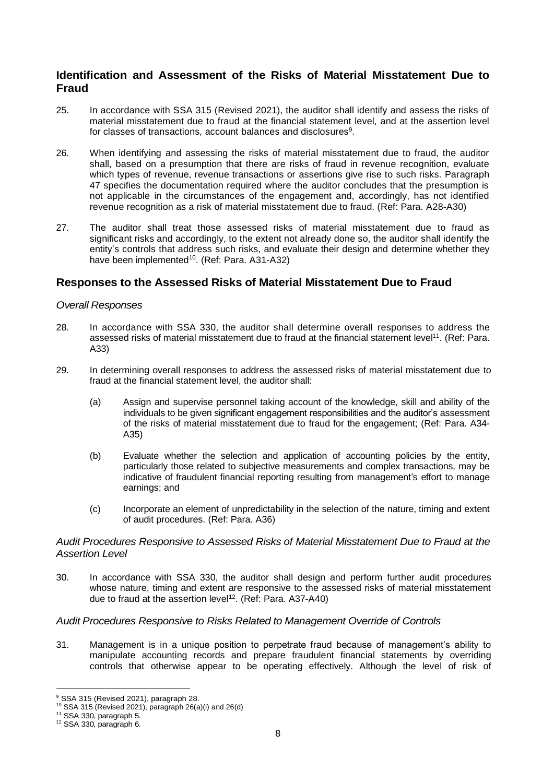# **Identification and Assessment of the Risks of Material Misstatement Due to Fraud**

- 25. In accordance with SSA 315 (Revised 2021), the auditor shall identify and assess the risks of material misstatement due to fraud at the financial statement level, and at the assertion level for classes of transactions, account balances and disclosures $9$ .
- 26. When identifying and assessing the risks of material misstatement due to fraud, the auditor shall, based on a presumption that there are risks of fraud in revenue recognition, evaluate which types of revenue, revenue transactions or assertions give rise to such risks. Paragraph 47 specifies the documentation required where the auditor concludes that the presumption is not applicable in the circumstances of the engagement and, accordingly, has not identified revenue recognition as a risk of material misstatement due to fraud. (Ref: Para. A28-A30)
- 27. The auditor shall treat those assessed risks of material misstatement due to fraud as significant risks and accordingly, to the extent not already done so, the auditor shall identify the entity's controls that address such risks, and evaluate their design and determine whether they have been implemented<sup>10</sup>. (Ref: Para. A31-A32)

# **Responses to the Assessed Risks of Material Misstatement Due to Fraud**

#### *Overall Responses*

- 28. In accordance with SSA 330, the auditor shall determine overall responses to address the assessed risks of material misstatement due to fraud at the financial statement level<sup>11</sup>. (Ref: Para. A33)
- 29. In determining overall responses to address the assessed risks of material misstatement due to fraud at the financial statement level, the auditor shall:
	- (a) Assign and supervise personnel taking account of the knowledge, skill and ability of the individuals to be given significant engagement responsibilities and the auditor's assessment of the risks of material misstatement due to fraud for the engagement; (Ref: Para. A34- A35)
	- (b) Evaluate whether the selection and application of accounting policies by the entity, particularly those related to subjective measurements and complex transactions, may be indicative of fraudulent financial reporting resulting from management's effort to manage earnings; and
	- (c) Incorporate an element of unpredictability in the selection of the nature, timing and extent of audit procedures. (Ref: Para. A36)

#### *Audit Procedures Responsive to Assessed Risks of Material Misstatement Due to Fraud at the Assertion Level*

30. In accordance with SSA 330, the auditor shall design and perform further audit procedures whose nature, timing and extent are responsive to the assessed risks of material misstatement due to fraud at the assertion level<sup>12</sup>. (Ref: Para. A37-A40)

#### *Audit Procedures Responsive to Risks Related to Management Override of Controls*

31. Management is in a unique position to perpetrate fraud because of management's ability to manipulate accounting records and prepare fraudulent financial statements by overriding controls that otherwise appear to be operating effectively. Although the level of risk of

<sup>9</sup> SSA 315 (Revised 2021), paragraph 28.

<sup>10</sup> SSA 315 (Revised 2021), paragraph 26(a)(i) and 26(d)

 $11$  SSA 330, paragraph 5.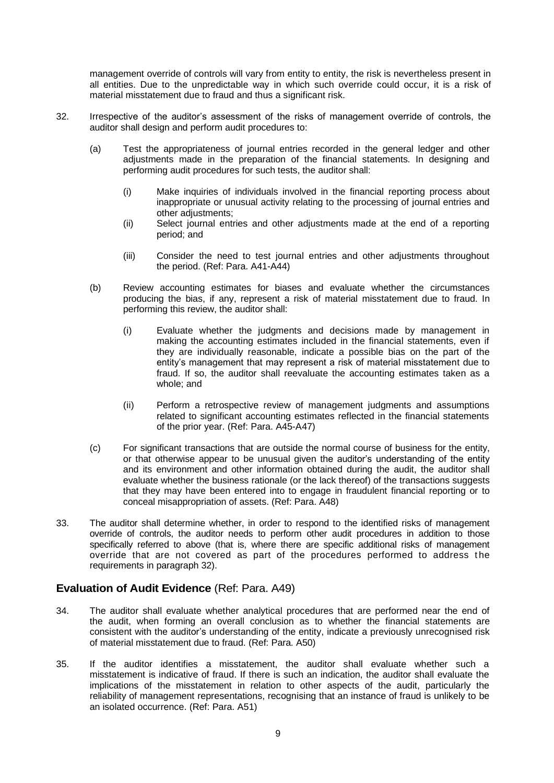management override of controls will vary from entity to entity, the risk is nevertheless present in all entities. Due to the unpredictable way in which such override could occur, it is a risk of material misstatement due to fraud and thus a significant risk.

- 32. Irrespective of the auditor's assessment of the risks of management override of controls, the auditor shall design and perform audit procedures to:
	- (a) Test the appropriateness of journal entries recorded in the general ledger and other adjustments made in the preparation of the financial statements. In designing and performing audit procedures for such tests, the auditor shall:
		- (i) Make inquiries of individuals involved in the financial reporting process about inappropriate or unusual activity relating to the processing of journal entries and other adjustments;
		- (ii) Select journal entries and other adjustments made at the end of a reporting period; and
		- (iii) Consider the need to test journal entries and other adjustments throughout the period. (Ref: Para. A41-A44)
	- (b) Review accounting estimates for biases and evaluate whether the circumstances producing the bias, if any, represent a risk of material misstatement due to fraud. In performing this review, the auditor shall:
		- (i) Evaluate whether the judgments and decisions made by management in making the accounting estimates included in the financial statements, even if they are individually reasonable, indicate a possible bias on the part of the entity's management that may represent a risk of material misstatement due to fraud. If so, the auditor shall reevaluate the accounting estimates taken as a whole; and
		- (ii) Perform a retrospective review of management judgments and assumptions related to significant accounting estimates reflected in the financial statements of the prior year. (Ref: Para. A45-A47)
	- (c) For significant transactions that are outside the normal course of business for the entity, or that otherwise appear to be unusual given the auditor's understanding of the entity and its environment and other information obtained during the audit, the auditor shall evaluate whether the business rationale (or the lack thereof) of the transactions suggests that they may have been entered into to engage in fraudulent financial reporting or to conceal misappropriation of assets. (Ref: Para. A48)
- 33. The auditor shall determine whether, in order to respond to the identified risks of management override of controls, the auditor needs to perform other audit procedures in addition to those specifically referred to above (that is, where there are specific additional risks of management override that are not covered as part of the procedures performed to address the requirements in paragraph 32).

# **Evaluation of Audit Evidence** (Ref: Para. A49)

- 34. The auditor shall evaluate whether analytical procedures that are performed near the end of the audit, when forming an overall conclusion as to whether the financial statements are consistent with the auditor's understanding of the entity, indicate a previously unrecognised risk of material misstatement due to fraud. (Ref: Para. A50)
- 35. If the auditor identifies a misstatement, the auditor shall evaluate whether such a misstatement is indicative of fraud. If there is such an indication, the auditor shall evaluate the implications of the misstatement in relation to other aspects of the audit, particularly the reliability of management representations, recognising that an instance of fraud is unlikely to be an isolated occurrence. (Ref: Para. A51)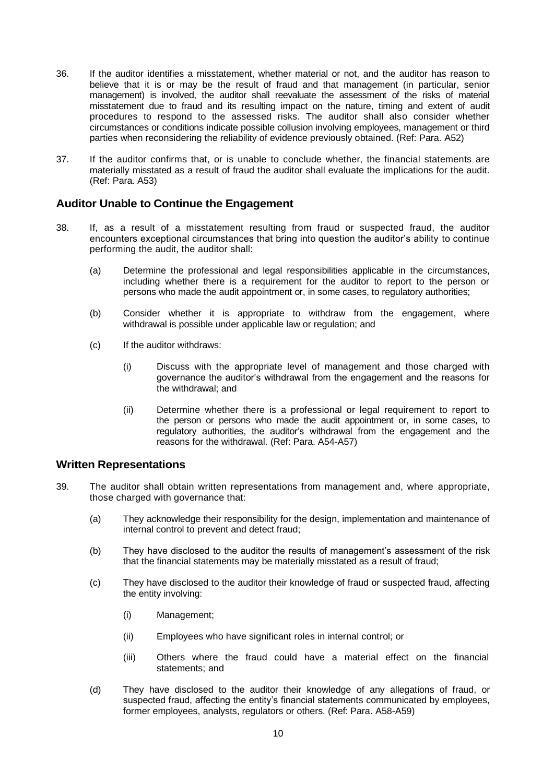- 36. If the auditor identifies a misstatement, whether material or not, and the auditor has reason to believe that it is or may be the result of fraud and that management (in particular, senior management) is involved, the auditor shall reevaluate the assessment of the risks of material misstatement due to fraud and its resulting impact on the nature, timing and extent of audit procedures to respond to the assessed risks. The auditor shall also consider whether circumstances or conditions indicate possible collusion involving employees, management or third parties when reconsidering the reliability of evidence previously obtained. (Ref: Para. A52)
- 37. If the auditor confirms that, or is unable to conclude whether, the financial statements are materially misstated as a result of fraud the auditor shall evaluate the implications for the audit. (Ref: Para. A53)

# **Auditor Unable to Continue the Engagement**

- 38. If, as a result of a misstatement resulting from fraud or suspected fraud, the auditor encounters exceptional circumstances that bring into question the auditor's ability to continue performing the audit, the auditor shall:
	- (a) Determine the professional and legal responsibilities applicable in the circumstances, including whether there is a requirement for the auditor to report to the person or persons who made the audit appointment or, in some cases, to regulatory authorities;
	- (b) Consider whether it is appropriate to withdraw from the engagement, where withdrawal is possible under applicable law or regulation; and
	- (c) If the auditor withdraws:
		- (i) Discuss with the appropriate level of management and those charged with governance the auditor's withdrawal from the engagement and the reasons for the withdrawal; and
		- (ii) Determine whether there is a professional or legal requirement to report to the person or persons who made the audit appointment or, in some cases, to regulatory authorities, the auditor's withdrawal from the engagement and the reasons for the withdrawal. (Ref: Para. A54-A57)

#### **Written Representations**

- 39. The auditor shall obtain written representations from management and, where appropriate, those charged with governance that:
	- (a) They acknowledge their responsibility for the design, implementation and maintenance of internal control to prevent and detect fraud;
	- (b) They have disclosed to the auditor the results of management's assessment of the risk that the financial statements may be materially misstated as a result of fraud;
	- (c) They have disclosed to the auditor their knowledge of fraud or suspected fraud, affecting the entity involving:
		- (i) Management;
		- (ii) Employees who have significant roles in internal control; or
		- (iii) Others where the fraud could have a material effect on the financial statements; and
	- (d) They have disclosed to the auditor their knowledge of any allegations of fraud, or suspected fraud, affecting the entity's financial statements communicated by employees, former employees, analysts, regulators or others. (Ref: Para. A58-A59)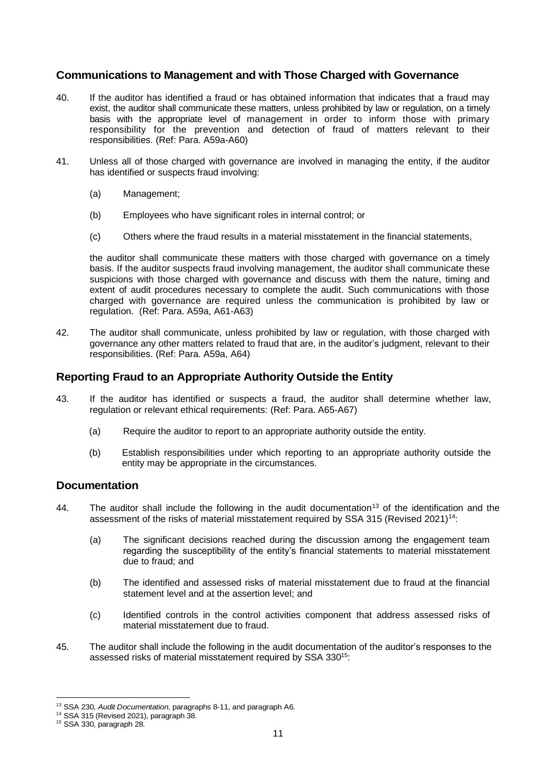# **Communications to Management and with Those Charged with Governance**

- 40. If the auditor has identified a fraud or has obtained information that indicates that a fraud may exist, the auditor shall communicate these matters, unless prohibited by law or regulation, on a timely basis with the appropriate level of management in order to inform those with primary responsibility for the prevention and detection of fraud of matters relevant to their responsibilities. (Ref: Para. A59a-A60)
- 41. Unless all of those charged with governance are involved in managing the entity, if the auditor has identified or suspects fraud involving:
	- (a) Management;
	- (b) Employees who have significant roles in internal control; or
	- (c) Others where the fraud results in a material misstatement in the financial statements,

the auditor shall communicate these matters with those charged with governance on a timely basis. If the auditor suspects fraud involving management, the auditor shall communicate these suspicions with those charged with governance and discuss with them the nature, timing and extent of audit procedures necessary to complete the audit. Such communications with those charged with governance are required unless the communication is prohibited by law or regulation. (Ref: Para. A59a, A61-A63)

42. The auditor shall communicate, unless prohibited by law or regulation, with those charged with governance any other matters related to fraud that are, in the auditor's judgment, relevant to their responsibilities. (Ref: Para. A59a, A64)

# **Reporting Fraud to an Appropriate Authority Outside the Entity**

- 43. If the auditor has identified or suspects a fraud, the auditor shall determine whether law, regulation or relevant ethical requirements: (Ref: Para. A65-A67)
	- (a) Require the auditor to report to an appropriate authority outside the entity.
	- (b) Establish responsibilities under which reporting to an appropriate authority outside the entity may be appropriate in the circumstances.

#### **Documentation**

- 44. The auditor shall include the following in the audit documentation<sup>13</sup> of the identification and the assessment of the risks of material misstatement required by SSA 315 (Revised 2021)<sup>14</sup>:
	- (a) The significant decisions reached during the discussion among the engagement team regarding the susceptibility of the entity's financial statements to material misstatement due to fraud; and
	- (b) The identified and assessed risks of material misstatement due to fraud at the financial statement level and at the assertion level; and
	- (c) Identified controls in the control activities component that address assessed risks of material misstatement due to fraud.
- 45. The auditor shall include the following in the audit documentation of the auditor's responses to the assessed risks of material misstatement required by SSA 330<sup>15</sup>:

<sup>13</sup> SSA 230, *Audit Documentation*, paragraphs 8-11, and paragraph A6.

<sup>14</sup> SSA 315 (Revised 2021), paragraph 38.

 $15$  SSA 330, paragraph 28.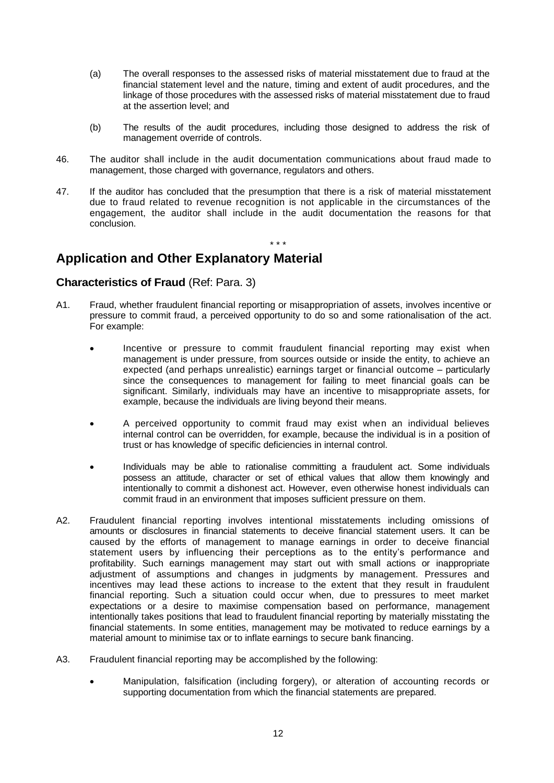- (a) The overall responses to the assessed risks of material misstatement due to fraud at the financial statement level and the nature, timing and extent of audit procedures, and the linkage of those procedures with the assessed risks of material misstatement due to fraud at the assertion level; and
- (b) The results of the audit procedures, including those designed to address the risk of management override of controls.
- 46. The auditor shall include in the audit documentation communications about fraud made to management, those charged with governance, regulators and others.
- 47. If the auditor has concluded that the presumption that there is a risk of material misstatement due to fraud related to revenue recognition is not applicable in the circumstances of the engagement, the auditor shall include in the audit documentation the reasons for that conclusion.

\* \* \*

# **Application and Other Explanatory Material**

# **Characteristics of Fraud** (Ref: Para. 3)

- A1. Fraud, whether fraudulent financial reporting or misappropriation of assets, involves incentive or pressure to commit fraud, a perceived opportunity to do so and some rationalisation of the act. For example:
	- Incentive or pressure to commit fraudulent financial reporting may exist when management is under pressure, from sources outside or inside the entity, to achieve an expected (and perhaps unrealistic) earnings target or financial outcome – particularly since the consequences to management for failing to meet financial goals can be significant. Similarly, individuals may have an incentive to misappropriate assets, for example, because the individuals are living beyond their means.
	- A perceived opportunity to commit fraud may exist when an individual believes internal control can be overridden, for example, because the individual is in a position of trust or has knowledge of specific deficiencies in internal control.
	- Individuals may be able to rationalise committing a fraudulent act. Some individuals possess an attitude, character or set of ethical values that allow them knowingly and intentionally to commit a dishonest act. However, even otherwise honest individuals can commit fraud in an environment that imposes sufficient pressure on them.
- A2. Fraudulent financial reporting involves intentional misstatements including omissions of amounts or disclosures in financial statements to deceive financial statement users. It can be caused by the efforts of management to manage earnings in order to deceive financial statement users by influencing their perceptions as to the entity's performance and profitability. Such earnings management may start out with small actions or inappropriate adjustment of assumptions and changes in judgments by management. Pressures and incentives may lead these actions to increase to the extent that they result in fraudulent financial reporting. Such a situation could occur when, due to pressures to meet market expectations or a desire to maximise compensation based on performance, management intentionally takes positions that lead to fraudulent financial reporting by materially misstating the financial statements. In some entities, management may be motivated to reduce earnings by a material amount to minimise tax or to inflate earnings to secure bank financing.
- A3. Fraudulent financial reporting may be accomplished by the following:
	- Manipulation, falsification (including forgery), or alteration of accounting records or supporting documentation from which the financial statements are prepared.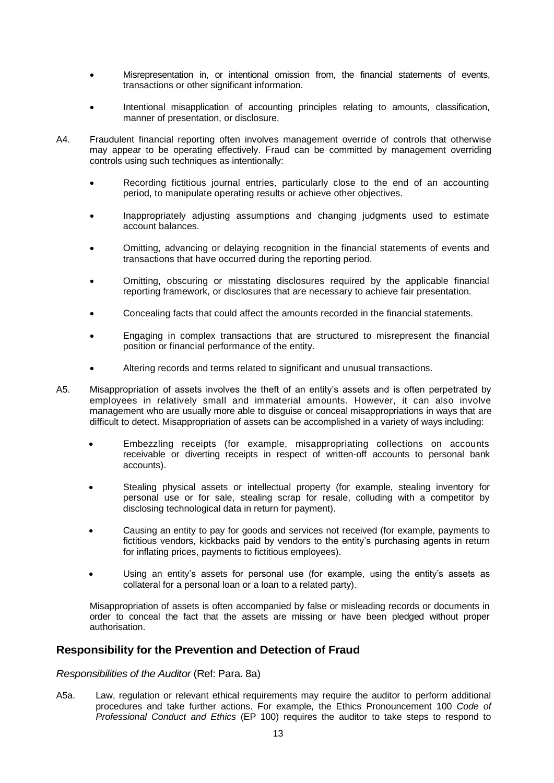- Misrepresentation in, or intentional omission from, the financial statements of events, transactions or other significant information.
- Intentional misapplication of accounting principles relating to amounts, classification, manner of presentation, or disclosure.
- A4. Fraudulent financial reporting often involves management override of controls that otherwise may appear to be operating effectively. Fraud can be committed by management overriding controls using such techniques as intentionally:
	- Recording fictitious journal entries, particularly close to the end of an accounting period, to manipulate operating results or achieve other objectives.
	- Inappropriately adjusting assumptions and changing judgments used to estimate account balances.
	- Omitting, advancing or delaying recognition in the financial statements of events and transactions that have occurred during the reporting period.
	- Omitting, obscuring or misstating disclosures required by the applicable financial reporting framework, or disclosures that are necessary to achieve fair presentation.
	- Concealing facts that could affect the amounts recorded in the financial statements.
	- Engaging in complex transactions that are structured to misrepresent the financial position or financial performance of the entity.
	- Altering records and terms related to significant and unusual transactions.
- A5. Misappropriation of assets involves the theft of an entity's assets and is often perpetrated by employees in relatively small and immaterial amounts. However, it can also involve management who are usually more able to disguise or conceal misappropriations in ways that are difficult to detect. Misappropriation of assets can be accomplished in a variety of ways including:
	- Embezzling receipts (for example, misappropriating collections on accounts receivable or diverting receipts in respect of written-off accounts to personal bank accounts).
	- Stealing physical assets or intellectual property (for example, stealing inventory for personal use or for sale, stealing scrap for resale, colluding with a competitor by disclosing technological data in return for payment).
	- Causing an entity to pay for goods and services not received (for example, payments to fictitious vendors, kickbacks paid by vendors to the entity's purchasing agents in return for inflating prices, payments to fictitious employees).
	- Using an entity's assets for personal use (for example, using the entity's assets as collateral for a personal loan or a loan to a related party).

Misappropriation of assets is often accompanied by false or misleading records or documents in order to conceal the fact that the assets are missing or have been pledged without proper authorisation.

# **Responsibility for the Prevention and Detection of Fraud**

*Responsibilities of the Auditor* (Ref: Para. 8a)

A5a. Law, regulation or relevant ethical requirements may require the auditor to perform additional procedures and take further actions. For example, the Ethics Pronouncement 100 *Code of Professional Conduct and Ethics* (EP 100) requires the auditor to take steps to respond to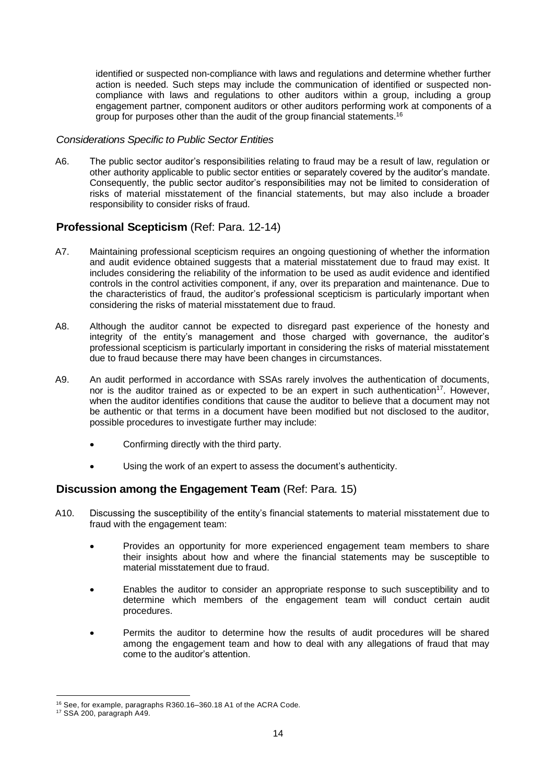identified or suspected non-compliance with laws and regulations and determine whether further action is needed. Such steps may include the communication of identified or suspected noncompliance with laws and regulations to other auditors within a group, including a group engagement partner, component auditors or other auditors performing work at components of a group for purposes other than the audit of the group financial statements.<sup>16</sup>

#### *Considerations Specific to Public Sector Entities*

A6. The public sector auditor's responsibilities relating to fraud may be a result of law, regulation or other authority applicable to public sector entities or separately covered by the auditor's mandate. Consequently, the public sector auditor's responsibilities may not be limited to consideration of risks of material misstatement of the financial statements, but may also include a broader responsibility to consider risks of fraud.

# **Professional Scepticism** (Ref: Para. 12-14)

- A7. Maintaining professional scepticism requires an ongoing questioning of whether the information and audit evidence obtained suggests that a material misstatement due to fraud may exist. It includes considering the reliability of the information to be used as audit evidence and identified controls in the control activities component, if any, over its preparation and maintenance. Due to the characteristics of fraud, the auditor's professional scepticism is particularly important when considering the risks of material misstatement due to fraud.
- A8. Although the auditor cannot be expected to disregard past experience of the honesty and integrity of the entity's management and those charged with governance, the auditor's professional scepticism is particularly important in considering the risks of material misstatement due to fraud because there may have been changes in circumstances.
- A9. An audit performed in accordance with SSAs rarely involves the authentication of documents, nor is the auditor trained as or expected to be an expert in such authentication<sup>17</sup>. However, when the auditor identifies conditions that cause the auditor to believe that a document may not be authentic or that terms in a document have been modified but not disclosed to the auditor, possible procedures to investigate further may include:
	- Confirming directly with the third party.
	- Using the work of an expert to assess the document's authenticity.

# **Discussion among the Engagement Team** (Ref: Para. 15)

- A10. Discussing the susceptibility of the entity's financial statements to material misstatement due to fraud with the engagement team:
	- Provides an opportunity for more experienced engagement team members to share their insights about how and where the financial statements may be susceptible to material misstatement due to fraud.
	- Enables the auditor to consider an appropriate response to such susceptibility and to determine which members of the engagement team will conduct certain audit procedures.
	- Permits the auditor to determine how the results of audit procedures will be shared among the engagement team and how to deal with any allegations of fraud that may come to the auditor's attention.

<sup>16</sup> See, for example, paragraphs R360.16–360.18 A1 of the ACRA Code.

<sup>17</sup> SSA 200, paragraph A49.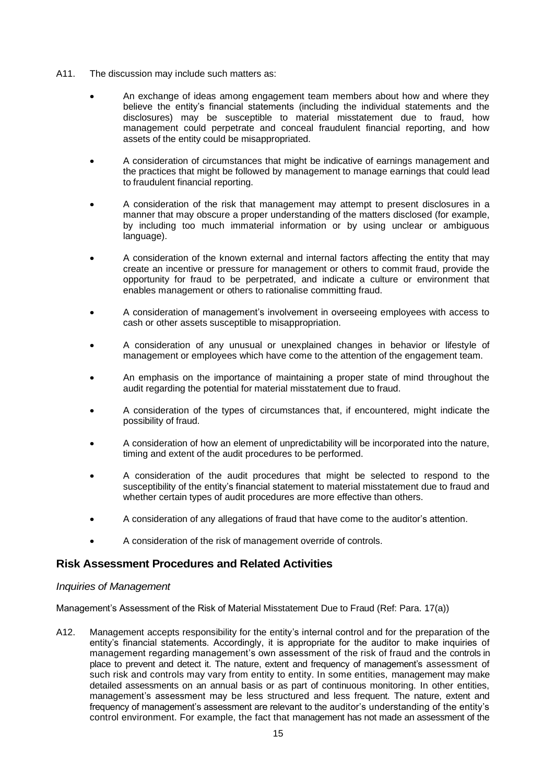- A11. The discussion may include such matters as:
	- An exchange of ideas among engagement team members about how and where they believe the entity's financial statements (including the individual statements and the disclosures) may be susceptible to material misstatement due to fraud, how management could perpetrate and conceal fraudulent financial reporting, and how assets of the entity could be misappropriated.
	- A consideration of circumstances that might be indicative of earnings management and the practices that might be followed by management to manage earnings that could lead to fraudulent financial reporting.
	- A consideration of the risk that management may attempt to present disclosures in a manner that may obscure a proper understanding of the matters disclosed (for example, by including too much immaterial information or by using unclear or ambiguous language).
	- A consideration of the known external and internal factors affecting the entity that may create an incentive or pressure for management or others to commit fraud, provide the opportunity for fraud to be perpetrated, and indicate a culture or environment that enables management or others to rationalise committing fraud.
	- A consideration of management's involvement in overseeing employees with access to cash or other assets susceptible to misappropriation.
	- A consideration of any unusual or unexplained changes in behavior or lifestyle of management or employees which have come to the attention of the engagement team.
	- An emphasis on the importance of maintaining a proper state of mind throughout the audit regarding the potential for material misstatement due to fraud.
	- A consideration of the types of circumstances that, if encountered, might indicate the possibility of fraud.
	- A consideration of how an element of unpredictability will be incorporated into the nature, timing and extent of the audit procedures to be performed.
	- A consideration of the audit procedures that might be selected to respond to the susceptibility of the entity's financial statement to material misstatement due to fraud and whether certain types of audit procedures are more effective than others.
	- A consideration of any allegations of fraud that have come to the auditor's attention.
	- A consideration of the risk of management override of controls.

# **Risk Assessment Procedures and Related Activities**

#### *Inquiries of Management*

Management's Assessment of the Risk of Material Misstatement Due to Fraud (Ref: Para. 17(a))

A12. Management accepts responsibility for the entity's internal control and for the preparation of the entity's financial statements. Accordingly, it is appropriate for the auditor to make inquiries of management regarding management's own assessment of the risk of fraud and the controls in place to prevent and detect it. The nature, extent and frequency of management's assessment of such risk and controls may vary from entity to entity. In some entities, management may make detailed assessments on an annual basis or as part of continuous monitoring. In other entities, management's assessment may be less structured and less frequent. The nature, extent and frequency of management's assessment are relevant to the auditor's understanding of the entity's control environment. For example, the fact that management has not made an assessment of the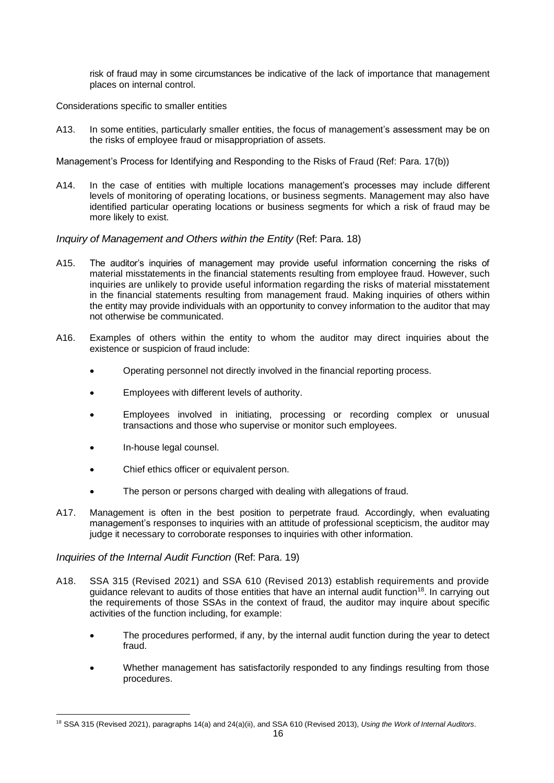risk of fraud may in some circumstances be indicative of the lack of importance that management places on internal control.

Considerations specific to smaller entities

A13. In some entities, particularly smaller entities, the focus of management's assessment may be on the risks of employee fraud or misappropriation of assets.

Management's Process for Identifying and Responding to the Risks of Fraud (Ref: Para. 17(b))

A14. In the case of entities with multiple locations management's processes may include different levels of monitoring of operating locations, or business segments. Management may also have identified particular operating locations or business segments for which a risk of fraud may be more likely to exist.

#### *Inquiry of Management and Others within the Entity* (Ref: Para. 18)

- A15. The auditor's inquiries of management may provide useful information concerning the risks of material misstatements in the financial statements resulting from employee fraud. However, such inquiries are unlikely to provide useful information regarding the risks of material misstatement in the financial statements resulting from management fraud. Making inquiries of others within the entity may provide individuals with an opportunity to convey information to the auditor that may not otherwise be communicated.
- A16. Examples of others within the entity to whom the auditor may direct inquiries about the existence or suspicion of fraud include:
	- Operating personnel not directly involved in the financial reporting process.
	- Employees with different levels of authority.
	- Employees involved in initiating, processing or recording complex or unusual transactions and those who supervise or monitor such employees.
	- In-house legal counsel.
	- Chief ethics officer or equivalent person.
	- The person or persons charged with dealing with allegations of fraud.
- A17. Management is often in the best position to perpetrate fraud. Accordingly, when evaluating management's responses to inquiries with an attitude of professional scepticism, the auditor may judge it necessary to corroborate responses to inquiries with other information.

# *Inquiries of the Internal Audit Function* (Ref: Para. 19)

- A18. SSA 315 (Revised 2021) and SSA 610 (Revised 2013) establish requirements and provide guidance relevant to audits of those entities that have an internal audit function<sup>18</sup>. In carrying out the requirements of those SSAs in the context of fraud, the auditor may inquire about specific activities of the function including, for example:
	- The procedures performed, if any, by the internal audit function during the year to detect fraud.
	- Whether management has satisfactorily responded to any findings resulting from those procedures.

<sup>18</sup> SSA 315 (Revised 2021), paragraphs 14(a) and 24(a)(ii), and SSA 610 (Revised 2013), *Using the Work of Internal Auditors*.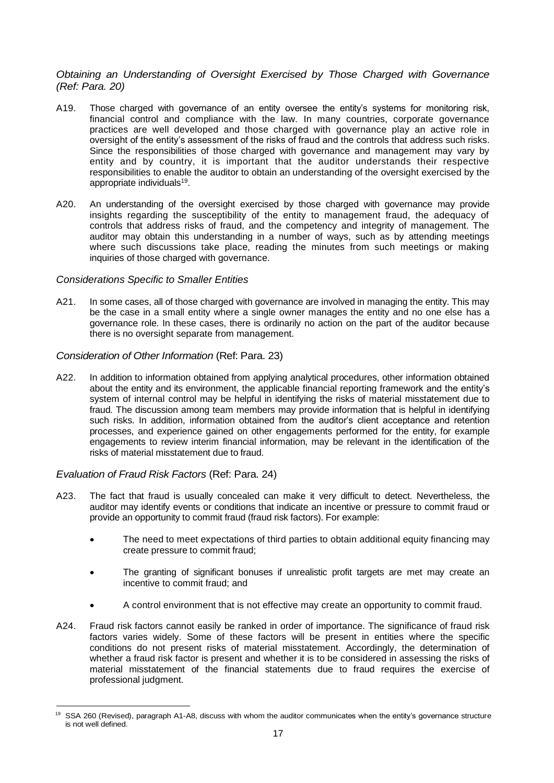#### *Obtaining an Understanding of Oversight Exercised by Those Charged with Governance (Ref: Para. 20)*

- A19. Those charged with governance of an entity oversee the entity's systems for monitoring risk, financial control and compliance with the law. In many countries, corporate governance practices are well developed and those charged with governance play an active role in oversight of the entity's assessment of the risks of fraud and the controls that address such risks. Since the responsibilities of those charged with governance and management may vary by entity and by country, it is important that the auditor understands their respective responsibilities to enable the auditor to obtain an understanding of the oversight exercised by the appropriate individuals<sup>19</sup>.
- A20. An understanding of the oversight exercised by those charged with governance may provide insights regarding the susceptibility of the entity to management fraud, the adequacy of controls that address risks of fraud, and the competency and integrity of management. The auditor may obtain this understanding in a number of ways, such as by attending meetings where such discussions take place, reading the minutes from such meetings or making inquiries of those charged with governance.

#### *Considerations Specific to Smaller Entities*

A21. In some cases, all of those charged with governance are involved in managing the entity. This may be the case in a small entity where a single owner manages the entity and no one else has a governance role. In these cases, there is ordinarily no action on the part of the auditor because there is no oversight separate from management.

#### *Consideration of Other Information* (Ref: Para. 23)

A22. In addition to information obtained from applying analytical procedures, other information obtained about the entity and its environment, the applicable financial reporting framework and the entity's system of internal control may be helpful in identifying the risks of material misstatement due to fraud. The discussion among team members may provide information that is helpful in identifying such risks. In addition, information obtained from the auditor's client acceptance and retention processes, and experience gained on other engagements performed for the entity, for example engagements to review interim financial information, may be relevant in the identification of the risks of material misstatement due to fraud.

#### *Evaluation of Fraud Risk Factors* (Ref: Para. 24)

- A23. The fact that fraud is usually concealed can make it very difficult to detect. Nevertheless, the auditor may identify events or conditions that indicate an incentive or pressure to commit fraud or provide an opportunity to commit fraud (fraud risk factors). For example:
	- The need to meet expectations of third parties to obtain additional equity financing may create pressure to commit fraud;
	- The granting of significant bonuses if unrealistic profit targets are met may create an incentive to commit fraud; and
	- A control environment that is not effective may create an opportunity to commit fraud.
- A24. Fraud risk factors cannot easily be ranked in order of importance. The significance of fraud risk factors varies widely. Some of these factors will be present in entities where the specific conditions do not present risks of material misstatement. Accordingly, the determination of whether a fraud risk factor is present and whether it is to be considered in assessing the risks of material misstatement of the financial statements due to fraud requires the exercise of professional judgment.

 $19$  SSA 260 (Revised), paragraph A1-A8, discuss with whom the auditor communicates when the entity's governance structure is not well defined.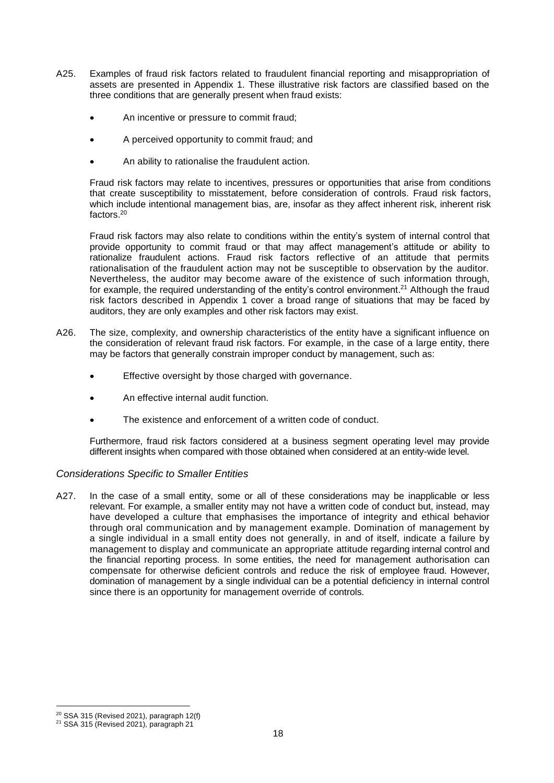- A25. Examples of fraud risk factors related to fraudulent financial reporting and misappropriation of assets are presented in Appendix 1. These illustrative risk factors are classified based on the three conditions that are generally present when fraud exists:
	- An incentive or pressure to commit fraud;
	- A perceived opportunity to commit fraud; and
	- An ability to rationalise the fraudulent action.

Fraud risk factors may relate to incentives, pressures or opportunities that arise from conditions that create susceptibility to misstatement, before consideration of controls. Fraud risk factors, which include intentional management bias, are, insofar as they affect inherent risk, inherent risk factors.<sup>20</sup>

Fraud risk factors may also relate to conditions within the entity's system of internal control that provide opportunity to commit fraud or that may affect management's attitude or ability to rationalize fraudulent actions. Fraud risk factors reflective of an attitude that permits rationalisation of the fraudulent action may not be susceptible to observation by the auditor. Nevertheless, the auditor may become aware of the existence of such information through, for example, the required understanding of the entity's control environment.<sup>21</sup> Although the fraud risk factors described in Appendix 1 cover a broad range of situations that may be faced by auditors, they are only examples and other risk factors may exist.

- A26. The size, complexity, and ownership characteristics of the entity have a significant influence on the consideration of relevant fraud risk factors. For example, in the case of a large entity, there may be factors that generally constrain improper conduct by management, such as:
	- Effective oversight by those charged with governance.
	- An effective internal audit function.
	- The existence and enforcement of a written code of conduct.

Furthermore, fraud risk factors considered at a business segment operating level may provide different insights when compared with those obtained when considered at an entity-wide level.

#### *Considerations Specific to Smaller Entities*

A27. In the case of a small entity, some or all of these considerations may be inapplicable or less relevant. For example, a smaller entity may not have a written code of conduct but, instead, may have developed a culture that emphasises the importance of integrity and ethical behavior through oral communication and by management example. Domination of management by a single individual in a small entity does not generally, in and of itself, indicate a failure by management to display and communicate an appropriate attitude regarding internal control and the financial reporting process. In some entities, the need for management authorisation can compensate for otherwise deficient controls and reduce the risk of employee fraud. However, domination of management by a single individual can be a potential deficiency in internal control since there is an opportunity for management override of controls.

 $20$  SSA 315 (Revised 2021), paragraph 12(f)

<sup>&</sup>lt;sup>21</sup> SSA 315 (Revised 2021), paragraph 21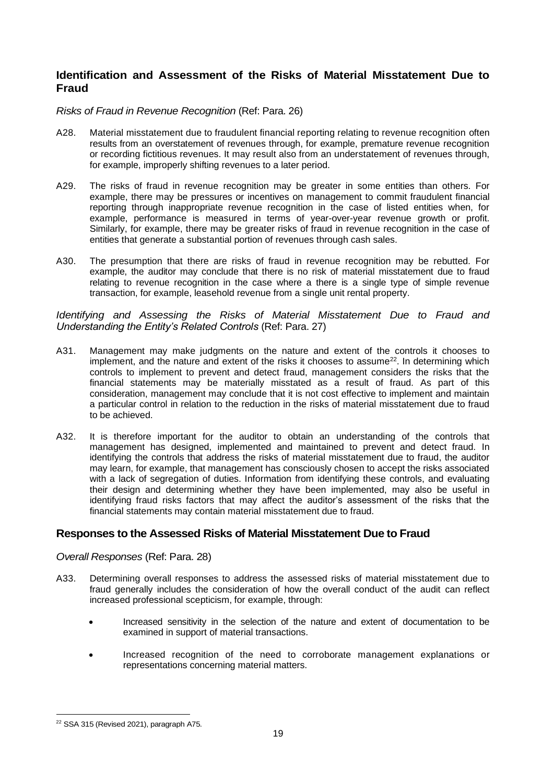# **Identification and Assessment of the Risks of Material Misstatement Due to Fraud**

#### *Risks of Fraud in Revenue Recognition* (Ref: Para. 26)

- A28. Material misstatement due to fraudulent financial reporting relating to revenue recognition often results from an overstatement of revenues through, for example, premature revenue recognition or recording fictitious revenues. It may result also from an understatement of revenues through, for example, improperly shifting revenues to a later period.
- A29. The risks of fraud in revenue recognition may be greater in some entities than others. For example, there may be pressures or incentives on management to commit fraudulent financial reporting through inappropriate revenue recognition in the case of listed entities when, for example, performance is measured in terms of year-over-year revenue growth or profit. Similarly, for example, there may be greater risks of fraud in revenue recognition in the case of entities that generate a substantial portion of revenues through cash sales.
- A30. The presumption that there are risks of fraud in revenue recognition may be rebutted. For example, the auditor may conclude that there is no risk of material misstatement due to fraud relating to revenue recognition in the case where a there is a single type of simple revenue transaction, for example, leasehold revenue from a single unit rental property.

*Identifying and Assessing the Risks of Material Misstatement Due to Fraud and Understanding the Entity's Related Controls* (Ref: Para. 27)

- A31. Management may make judgments on the nature and extent of the controls it chooses to implement, and the nature and extent of the risks it chooses to assume<sup>22</sup>. In determining which controls to implement to prevent and detect fraud, management considers the risks that the financial statements may be materially misstated as a result of fraud. As part of this consideration, management may conclude that it is not cost effective to implement and maintain a particular control in relation to the reduction in the risks of material misstatement due to fraud to be achieved.
- A32. It is therefore important for the auditor to obtain an understanding of the controls that management has designed, implemented and maintained to prevent and detect fraud. In identifying the controls that address the risks of material misstatement due to fraud, the auditor may learn, for example, that management has consciously chosen to accept the risks associated with a lack of segregation of duties. Information from identifying these controls, and evaluating their design and determining whether they have been implemented, may also be useful in identifying fraud risks factors that may affect the auditor's assessment of the risks that the financial statements may contain material misstatement due to fraud.

# **Responses to the Assessed Risks of Material Misstatement Due to Fraud**

*Overall Responses* (Ref: Para. 28)

- A33. Determining overall responses to address the assessed risks of material misstatement due to fraud generally includes the consideration of how the overall conduct of the audit can reflect increased professional scepticism, for example, through:
	- Increased sensitivity in the selection of the nature and extent of documentation to be examined in support of material transactions.
	- Increased recognition of the need to corroborate management explanations or representations concerning material matters.

<sup>&</sup>lt;sup>22</sup> SSA 315 (Revised 2021), paragraph A75.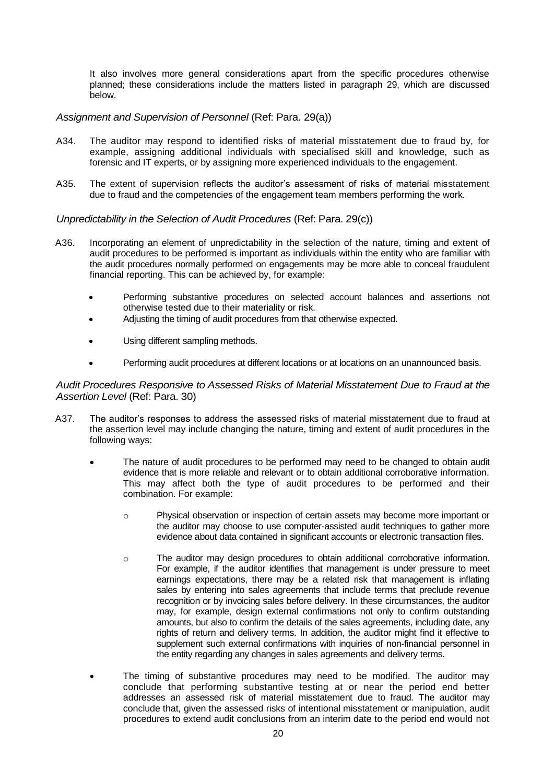It also involves more general considerations apart from the specific procedures otherwise planned; these considerations include the matters listed in paragraph 29, which are discussed below.

#### *Assignment and Supervision of Personnel* (Ref: Para. 29(a))

- A34. The auditor may respond to identified risks of material misstatement due to fraud by, for example, assigning additional individuals with specialised skill and knowledge, such as forensic and IT experts, or by assigning more experienced individuals to the engagement.
- A35. The extent of supervision reflects the auditor's assessment of risks of material misstatement due to fraud and the competencies of the engagement team members performing the work.

#### *Unpredictability in the Selection of Audit Procedures* (Ref: Para. 29(c))

- A36. Incorporating an element of unpredictability in the selection of the nature, timing and extent of audit procedures to be performed is important as individuals within the entity who are familiar with the audit procedures normally performed on engagements may be more able to conceal fraudulent financial reporting. This can be achieved by, for example:
	- Performing substantive procedures on selected account balances and assertions not otherwise tested due to their materiality or risk.
	- Adjusting the timing of audit procedures from that otherwise expected.
	- Using different sampling methods.
	- Performing audit procedures at different locations or at locations on an unannounced basis.

#### *Audit Procedures Responsive to Assessed Risks of Material Misstatement Due to Fraud at the Assertion Level* (Ref: Para. 30)

- A37. The auditor's responses to address the assessed risks of material misstatement due to fraud at the assertion level may include changing the nature, timing and extent of audit procedures in the following ways:
	- The nature of audit procedures to be performed may need to be changed to obtain audit evidence that is more reliable and relevant or to obtain additional corroborative information. This may affect both the type of audit procedures to be performed and their combination. For example:
		- o Physical observation or inspection of certain assets may become more important or the auditor may choose to use computer-assisted audit techniques to gather more evidence about data contained in significant accounts or electronic transaction files.
		- o The auditor may design procedures to obtain additional corroborative information. For example, if the auditor identifies that management is under pressure to meet earnings expectations, there may be a related risk that management is inflating sales by entering into sales agreements that include terms that preclude revenue recognition or by invoicing sales before delivery. In these circumstances, the auditor may, for example, design external confirmations not only to confirm outstanding amounts, but also to confirm the details of the sales agreements, including date, any rights of return and delivery terms. In addition, the auditor might find it effective to supplement such external confirmations with inquiries of non-financial personnel in the entity regarding any changes in sales agreements and delivery terms.
	- The timing of substantive procedures may need to be modified. The auditor may conclude that performing substantive testing at or near the period end better addresses an assessed risk of material misstatement due to fraud. The auditor may conclude that, given the assessed risks of intentional misstatement or manipulation, audit procedures to extend audit conclusions from an interim date to the period end would not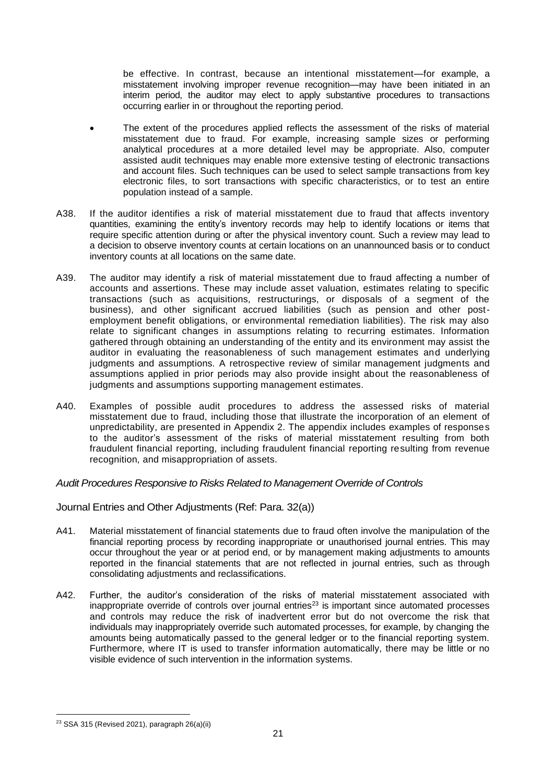be effective. In contrast, because an intentional misstatement—for example, a misstatement involving improper revenue recognition—may have been initiated in an interim period, the auditor may elect to apply substantive procedures to transactions occurring earlier in or throughout the reporting period.

- The extent of the procedures applied reflects the assessment of the risks of material misstatement due to fraud. For example, increasing sample sizes or performing analytical procedures at a more detailed level may be appropriate. Also, computer assisted audit techniques may enable more extensive testing of electronic transactions and account files. Such techniques can be used to select sample transactions from key electronic files, to sort transactions with specific characteristics, or to test an entire population instead of a sample.
- A38. If the auditor identifies a risk of material misstatement due to fraud that affects inventory quantities, examining the entity's inventory records may help to identify locations or items that require specific attention during or after the physical inventory count. Such a review may lead to a decision to observe inventory counts at certain locations on an unannounced basis or to conduct inventory counts at all locations on the same date.
- A39. The auditor may identify a risk of material misstatement due to fraud affecting a number of accounts and assertions. These may include asset valuation, estimates relating to specific transactions (such as acquisitions, restructurings, or disposals of a segment of the business), and other significant accrued liabilities (such as pension and other postemployment benefit obligations, or environmental remediation liabilities). The risk may also relate to significant changes in assumptions relating to recurring estimates. Information gathered through obtaining an understanding of the entity and its environment may assist the auditor in evaluating the reasonableness of such management estimates and underlying judgments and assumptions. A retrospective review of similar management judgments and assumptions applied in prior periods may also provide insight about the reasonableness of judgments and assumptions supporting management estimates.
- A40. Examples of possible audit procedures to address the assessed risks of material misstatement due to fraud, including those that illustrate the incorporation of an element of unpredictability, are presented in Appendix 2. The appendix includes examples of responses to the auditor's assessment of the risks of material misstatement resulting from both fraudulent financial reporting, including fraudulent financial reporting resulting from revenue recognition, and misappropriation of assets.

# *Audit Procedures Responsive to Risks Related to Management Override of Controls*

Journal Entries and Other Adjustments (Ref: Para. 32(a))

- A41. Material misstatement of financial statements due to fraud often involve the manipulation of the financial reporting process by recording inappropriate or unauthorised journal entries. This may occur throughout the year or at period end, or by management making adjustments to amounts reported in the financial statements that are not reflected in journal entries, such as through consolidating adjustments and reclassifications.
- A42. Further, the auditor's consideration of the risks of material misstatement associated with inappropriate override of controls over journal entries<sup>23</sup> is important since automated processes and controls may reduce the risk of inadvertent error but do not overcome the risk that individuals may inappropriately override such automated processes, for example, by changing the amounts being automatically passed to the general ledger or to the financial reporting system. Furthermore, where IT is used to transfer information automatically, there may be little or no visible evidence of such intervention in the information systems.

 $23$  SSA 315 (Revised 2021), paragraph 26(a)(ii)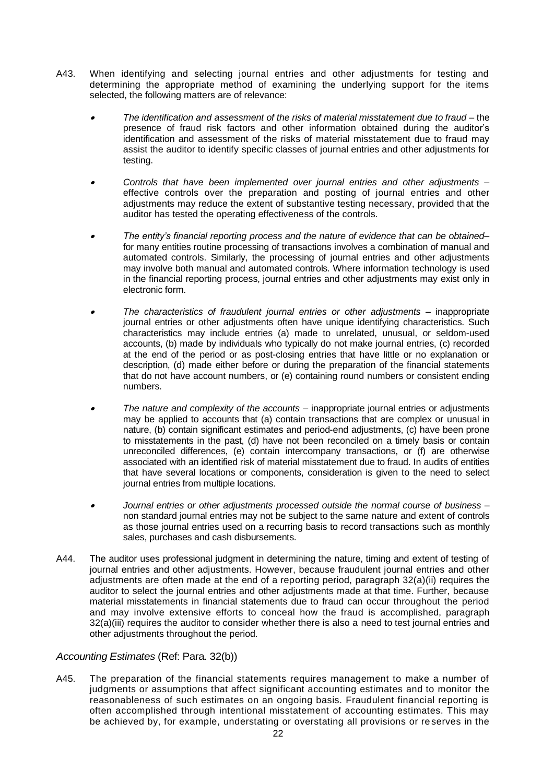- A43. When identifying and selecting journal entries and other adjustments for testing and determining the appropriate method of examining the underlying support for the items selected, the following matters are of relevance:
	- •The identification and assessment of the risks of material misstatement due to fraud – the presence of fraud risk factors and other information obtained during the auditor's identification and assessment of the risks of material misstatement due to fraud may assist the auditor to identify specific classes of journal entries and other adjustments for testing.
	- • *Controls that have been implemented over journal entries and other adjustments* – effective controls over the preparation and posting of journal entries and other adjustments may reduce the extent of substantive testing necessary, provided that the auditor has tested the operating effectiveness of the controls.
	- • *The entity's financial reporting process and the nature of evidence that can be obtained–* for many entities routine processing of transactions involves a combination of manual and automated controls. Similarly, the processing of journal entries and other adjustments may involve both manual and automated controls. Where information technology is used in the financial reporting process, journal entries and other adjustments may exist only in electronic form.
	- • *The characteristics of fraudulent journal entries or other adjustments –* inappropriate journal entries or other adjustments often have unique identifying characteristics. Such characteristics may include entries (a) made to unrelated, unusual, or seldom-used accounts, (b) made by individuals who typically do not make journal entries, (c) recorded at the end of the period or as post-closing entries that have little or no explanation or description, (d) made either before or during the preparation of the financial statements that do not have account numbers, or (e) containing round numbers or consistent ending numbers.
	- • *The nature and complexity of the accounts* – inappropriate journal entries or adjustments may be applied to accounts that (a) contain transactions that are complex or unusual in nature, (b) contain significant estimates and period-end adjustments, (c) have been prone to misstatements in the past, (d) have not been reconciled on a timely basis or contain unreconciled differences, (e) contain intercompany transactions, or (f) are otherwise associated with an identified risk of material misstatement due to fraud. In audits of entities that have several locations or components, consideration is given to the need to select journal entries from multiple locations.
	- • *Journal entries or other adjustments processed outside the normal course of business –* non standard journal entries may not be subject to the same nature and extent of controls as those journal entries used on a recurring basis to record transactions such as monthly sales, purchases and cash disbursements.
- A44. The auditor uses professional judgment in determining the nature, timing and extent of testing of journal entries and other adjustments. However, because fraudulent journal entries and other adjustments are often made at the end of a reporting period, paragraph 32(a)(ii) requires the auditor to select the journal entries and other adjustments made at that time. Further, because material misstatements in financial statements due to fraud can occur throughout the period and may involve extensive efforts to conceal how the fraud is accomplished, paragraph 32(a)(iii) requires the auditor to consider whether there is also a need to test journal entries and other adjustments throughout the period.

#### *Accounting Estimates* (Ref: Para. 32(b))

A45. The preparation of the financial statements requires management to make a number of judgments or assumptions that affect significant accounting estimates and to monitor the reasonableness of such estimates on an ongoing basis. Fraudulent financial reporting is often accomplished through intentional misstatement of accounting estimates. This may be achieved by, for example, understating or overstating all provisions or reserves in the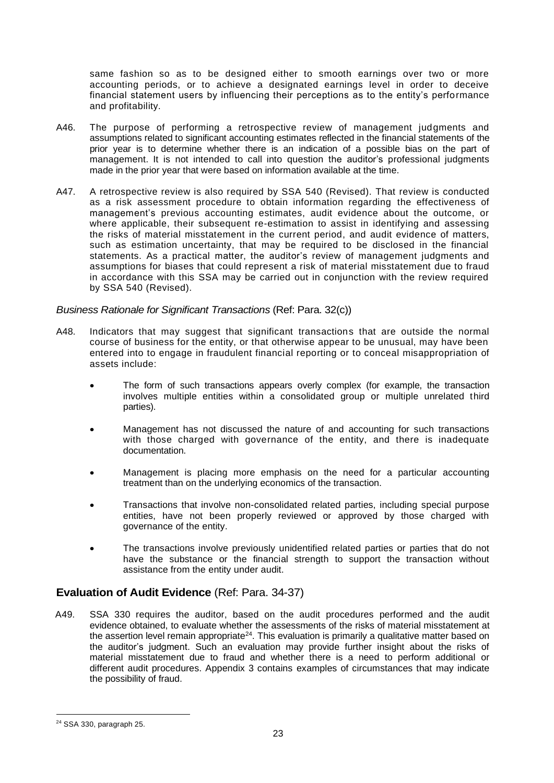same fashion so as to be designed either to smooth earnings over two or more accounting periods, or to achieve a designated earnings level in order to deceive financial statement users by influencing their perceptions as to the entity's performance and profitability.

- A46. The purpose of performing a retrospective review of management judgments and assumptions related to significant accounting estimates reflected in the financial statements of the prior year is to determine whether there is an indication of a possible bias on the part of management. It is not intended to call into question the auditor's professional judgments made in the prior year that were based on information available at the time.
- A47. A retrospective review is also required by SSA 540 (Revised). That review is conducted as a risk assessment procedure to obtain information regarding the effectiveness of management's previous accounting estimates, audit evidence about the outcome, or where applicable, their subsequent re-estimation to assist in identifying and assessing the risks of material misstatement in the current period, and audit evidence of matters, such as estimation uncertainty, that may be required to be disclosed in the financial statements. As a practical matter, the auditor's review of management judgments and assumptions for biases that could represent a risk of material misstatement due to fraud in accordance with this SSA may be carried out in conjunction with the review required by SSA 540 (Revised).

#### *Business Rationale for Significant Transactions* (Ref: Para. 32(c))

- A48. Indicators that may suggest that significant transactions that are outside the normal course of business for the entity, or that otherwise appear to be unusual, may have been entered into to engage in fraudulent financial reporting or to conceal misappropriation of assets include:
	- The form of such transactions appears overly complex (for example, the transaction involves multiple entities within a consolidated group or multiple unrelated third parties).
	- Management has not discussed the nature of and accounting for such transactions with those charged with governance of the entity, and there is inadequate documentation.
	- Management is placing more emphasis on the need for a particular accounting treatment than on the underlying economics of the transaction.
	- Transactions that involve non-consolidated related parties, including special purpose entities, have not been properly reviewed or approved by those charged with governance of the entity.
	- The transactions involve previously unidentified related parties or parties that do not have the substance or the financial strength to support the transaction without assistance from the entity under audit.

# **Evaluation of Audit Evidence** (Ref: Para. 34-37)

A49. SSA 330 requires the auditor, based on the audit procedures performed and the audit evidence obtained, to evaluate whether the assessments of the risks of material misstatement at the assertion level remain appropriate<sup>24</sup>. This evaluation is primarily a qualitative matter based on the auditor's judgment. Such an evaluation may provide further insight about the risks of material misstatement due to fraud and whether there is a need to perform additional or different audit procedures. Appendix 3 contains examples of circumstances that may indicate the possibility of fraud.

 $24$  SSA 330, paragraph 25.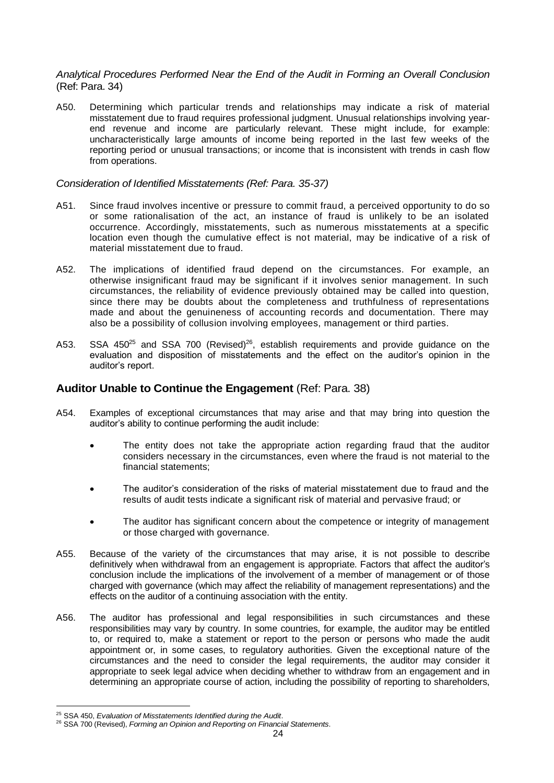#### *Analytical Procedures Performed Near the End of the Audit in Forming an Overall Conclusion*  (Ref: Para. 34)

A50. Determining which particular trends and relationships may indicate a risk of material misstatement due to fraud requires professional judgment. Unusual relationships involving yearend revenue and income are particularly relevant. These might include, for example: uncharacteristically large amounts of income being reported in the last few weeks of the reporting period or unusual transactions; or income that is inconsistent with trends in cash flow from operations.

#### *Consideration of Identified Misstatements (Ref: Para. 35-37)*

- A51. Since fraud involves incentive or pressure to commit fraud, a perceived opportunity to do so or some rationalisation of the act, an instance of fraud is unlikely to be an isolated occurrence. Accordingly, misstatements, such as numerous misstatements at a specific location even though the cumulative effect is not material, may be indicative of a risk of material misstatement due to fraud.
- A52. The implications of identified fraud depend on the circumstances. For example, an otherwise insignificant fraud may be significant if it involves senior management. In such circumstances, the reliability of evidence previously obtained may be called into question, since there may be doubts about the completeness and truthfulness of representations made and about the genuineness of accounting records and documentation. There may also be a possibility of collusion involving employees, management or third parties.
- A53. SSA  $450^{25}$  and SSA 700 (Revised)<sup>26</sup>, establish requirements and provide guidance on the evaluation and disposition of misstatements and the effect on the auditor's opinion in the auditor's report.

# **Auditor Unable to Continue the Engagement** (Ref: Para. 38)

- A54. Examples of exceptional circumstances that may arise and that may bring into question the auditor's ability to continue performing the audit include:
	- The entity does not take the appropriate action regarding fraud that the auditor considers necessary in the circumstances, even where the fraud is not material to the financial statements;
	- The auditor's consideration of the risks of material misstatement due to fraud and the results of audit tests indicate a significant risk of material and pervasive fraud; or
	- The auditor has significant concern about the competence or integrity of management or those charged with governance.
- A55. Because of the variety of the circumstances that may arise, it is not possible to describe definitively when withdrawal from an engagement is appropriate. Factors that affect the auditor's conclusion include the implications of the involvement of a member of management or of those charged with governance (which may affect the reliability of management representations) and the effects on the auditor of a continuing association with the entity.
- A56. The auditor has professional and legal responsibilities in such circumstances and these responsibilities may vary by country. In some countries, for example, the auditor may be entitled to, or required to, make a statement or report to the person or persons who made the audit appointment or, in some cases, to regulatory authorities. Given the exceptional nature of the circumstances and the need to consider the legal requirements, the auditor may consider it appropriate to seek legal advice when deciding whether to withdraw from an engagement and in determining an appropriate course of action, including the possibility of reporting to shareholders,

<sup>25</sup> SSA 450, *Evaluation of Misstatements Identified during the Audit*.

<sup>26</sup> SSA 700 (Revised), *Forming an Opinion and Reporting on Financial Statements*.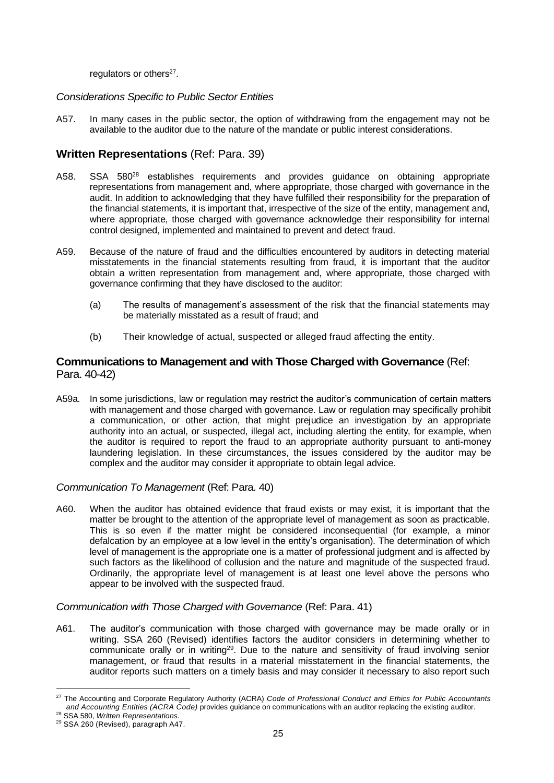regulators or others<sup>27</sup>.

# *Considerations Specific to Public Sector Entities*

A57. In many cases in the public sector, the option of withdrawing from the engagement may not be available to the auditor due to the nature of the mandate or public interest considerations.

# **Written Representations** (Ref: Para. 39)

- A58. SSA 580<sup>28</sup> establishes requirements and provides guidance on obtaining appropriate representations from management and, where appropriate, those charged with governance in the audit. In addition to acknowledging that they have fulfilled their responsibility for the preparation of the financial statements, it is important that, irrespective of the size of the entity, management and, where appropriate, those charged with governance acknowledge their responsibility for internal control designed, implemented and maintained to prevent and detect fraud.
- A59. Because of the nature of fraud and the difficulties encountered by auditors in detecting material misstatements in the financial statements resulting from fraud, it is important that the auditor obtain a written representation from management and, where appropriate, those charged with governance confirming that they have disclosed to the auditor:
	- (a) The results of management's assessment of the risk that the financial statements may be materially misstated as a result of fraud; and
	- (b) Their knowledge of actual, suspected or alleged fraud affecting the entity.

#### **Communications to Management and with Those Charged with Governance** (Ref: Para. 40-42)

A59a. In some jurisdictions, law or regulation may restrict the auditor's communication of certain matters with management and those charged with governance. Law or regulation may specifically prohibit a communication, or other action, that might prejudice an investigation by an appropriate authority into an actual, or suspected, illegal act, including alerting the entity, for example, when the auditor is required to report the fraud to an appropriate authority pursuant to anti-money laundering legislation. In these circumstances, the issues considered by the auditor may be complex and the auditor may consider it appropriate to obtain legal advice.

# *Communication To Management* (Ref: Para. 40)

A60. When the auditor has obtained evidence that fraud exists or may exist, it is important that the matter be brought to the attention of the appropriate level of management as soon as practicable. This is so even if the matter might be considered inconsequential (for example, a minor defalcation by an employee at a low level in the entity's organisation). The determination of which level of management is the appropriate one is a matter of professional judgment and is affected by such factors as the likelihood of collusion and the nature and magnitude of the suspected fraud. Ordinarily, the appropriate level of management is at least one level above the persons who appear to be involved with the suspected fraud.

# *Communication with Those Charged with Governance* (Ref: Para. 41)

A61. The auditor's communication with those charged with governance may be made orally or in writing. SSA 260 (Revised) identifies factors the auditor considers in determining whether to communicate orally or in writing<sup>29</sup>. Due to the nature and sensitivity of fraud involving senior management, or fraud that results in a material misstatement in the financial statements, the auditor reports such matters on a timely basis and may consider it necessary to also report such

<sup>27</sup> The Accounting and Corporate Regulatory Authority (ACRA) *Code of Professional Conduct and Ethics for Public Accountants and Accounting Entities (ACRA Code)* provides guidance on communications with an auditor replacing the existing auditor.

<sup>28</sup> SSA 580, *Written Representations*. <sup>29</sup> SSA 260 (Revised), paragraph A47.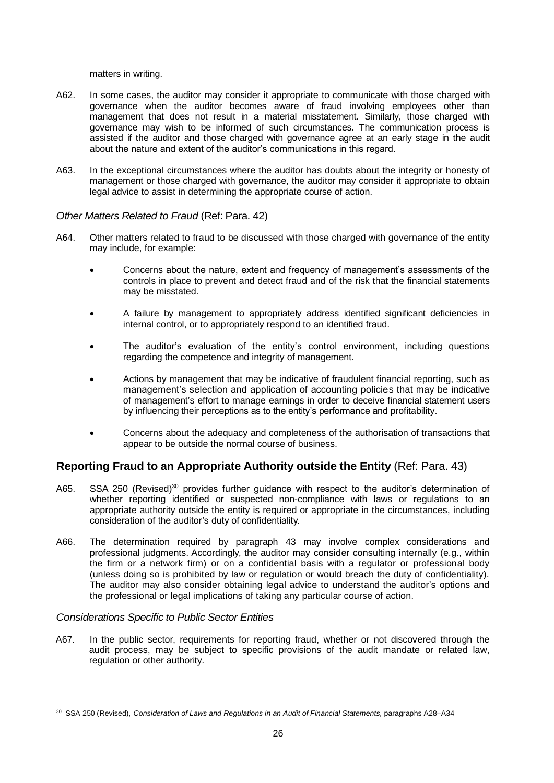matters in writing.

- A62. In some cases, the auditor may consider it appropriate to communicate with those charged with governance when the auditor becomes aware of fraud involving employees other than management that does not result in a material misstatement. Similarly, those charged with governance may wish to be informed of such circumstances. The communication process is assisted if the auditor and those charged with governance agree at an early stage in the audit about the nature and extent of the auditor's communications in this regard.
- A63. In the exceptional circumstances where the auditor has doubts about the integrity or honesty of management or those charged with governance, the auditor may consider it appropriate to obtain legal advice to assist in determining the appropriate course of action.

#### *Other Matters Related to Fraud* (Ref: Para. 42)

- A64. Other matters related to fraud to be discussed with those charged with governance of the entity may include, for example:
	- Concerns about the nature, extent and frequency of management's assessments of the controls in place to prevent and detect fraud and of the risk that the financial statements may be misstated.
	- A failure by management to appropriately address identified significant deficiencies in internal control, or to appropriately respond to an identified fraud.
	- The auditor's evaluation of the entity's control environment, including questions regarding the competence and integrity of management.
	- Actions by management that may be indicative of fraudulent financial reporting, such as management's selection and application of accounting policies that may be indicative of management's effort to manage earnings in order to deceive financial statement users by influencing their perceptions as to the entity's performance and profitability.
	- Concerns about the adequacy and completeness of the authorisation of transactions that appear to be outside the normal course of business.

# **Reporting Fraud to an Appropriate Authority outside the Entity** (Ref: Para. 43)

- A65. SSA 250 (Revised)<sup>30</sup> provides further guidance with respect to the auditor's determination of whether reporting identified or suspected non-compliance with laws or regulations to an appropriate authority outside the entity is required or appropriate in the circumstances, including consideration of the auditor's duty of confidentiality.
- A66. The determination required by paragraph 43 may involve complex considerations and professional judgments. Accordingly, the auditor may consider consulting internally (e.g., within the firm or a network firm) or on a confidential basis with a regulator or professional body (unless doing so is prohibited by law or regulation or would breach the duty of confidentiality). The auditor may also consider obtaining legal advice to understand the auditor's options and the professional or legal implications of taking any particular course of action.

#### *Considerations Specific to Public Sector Entities*

A67. In the public sector, requirements for reporting fraud, whether or not discovered through the audit process, may be subject to specific provisions of the audit mandate or related law, regulation or other authority.

<sup>30</sup> SSA 250 (Revised), *Consideration of Laws and Regulations in an Audit of Financial Statements,* paragraphs A28–A34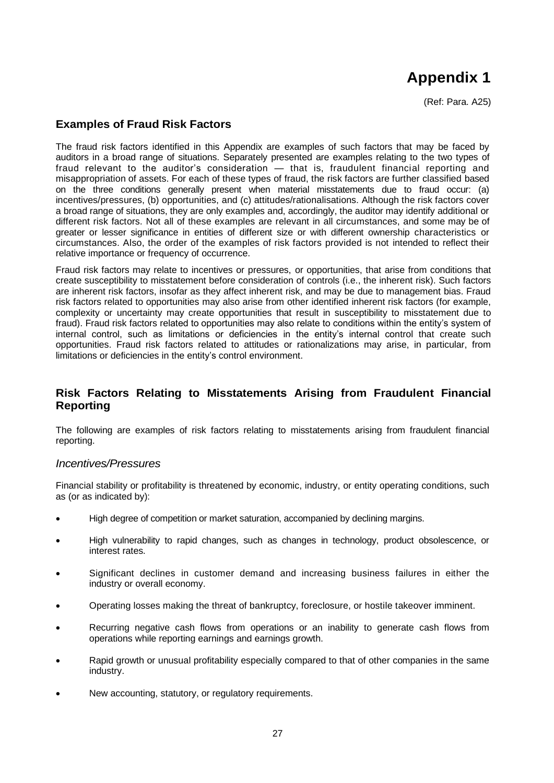# **Appendix 1**

(Ref: Para. A25)

# **Examples of Fraud Risk Factors**

The fraud risk factors identified in this Appendix are examples of such factors that may be faced by auditors in a broad range of situations. Separately presented are examples relating to the two types of fraud relevant to the auditor's consideration — that is, fraudulent financial reporting and misappropriation of assets. For each of these types of fraud, the risk factors are further classified based on the three conditions generally present when material misstatements due to fraud occur: (a) incentives/pressures, (b) opportunities, and (c) attitudes/rationalisations. Although the risk factors cover a broad range of situations, they are only examples and, accordingly, the auditor may identify additional or different risk factors. Not all of these examples are relevant in all circumstances, and some may be of greater or lesser significance in entities of different size or with different ownership characteristics or circumstances. Also, the order of the examples of risk factors provided is not intended to reflect their relative importance or frequency of occurrence.

Fraud risk factors may relate to incentives or pressures, or opportunities, that arise from conditions that create susceptibility to misstatement before consideration of controls (i.e., the inherent risk). Such factors are inherent risk factors, insofar as they affect inherent risk, and may be due to management bias. Fraud risk factors related to opportunities may also arise from other identified inherent risk factors (for example, complexity or uncertainty may create opportunities that result in susceptibility to misstatement due to fraud). Fraud risk factors related to opportunities may also relate to conditions within the entity's system of internal control, such as limitations or deficiencies in the entity's internal control that create such opportunities. Fraud risk factors related to attitudes or rationalizations may arise, in particular, from limitations or deficiencies in the entity's control environment.

# **Risk Factors Relating to Misstatements Arising from Fraudulent Financial Reporting**

The following are examples of risk factors relating to misstatements arising from fraudulent financial reporting.

#### *Incentives/Pressures*

Financial stability or profitability is threatened by economic, industry, or entity operating conditions, such as (or as indicated by):

- High degree of competition or market saturation, accompanied by declining margins.
- High vulnerability to rapid changes, such as changes in technology, product obsolescence, or interest rates.
- Significant declines in customer demand and increasing business failures in either the industry or overall economy.
- Operating losses making the threat of bankruptcy, foreclosure, or hostile takeover imminent.
- Recurring negative cash flows from operations or an inability to generate cash flows from operations while reporting earnings and earnings growth.
- Rapid growth or unusual profitability especially compared to that of other companies in the same industry.
- New accounting, statutory, or regulatory requirements.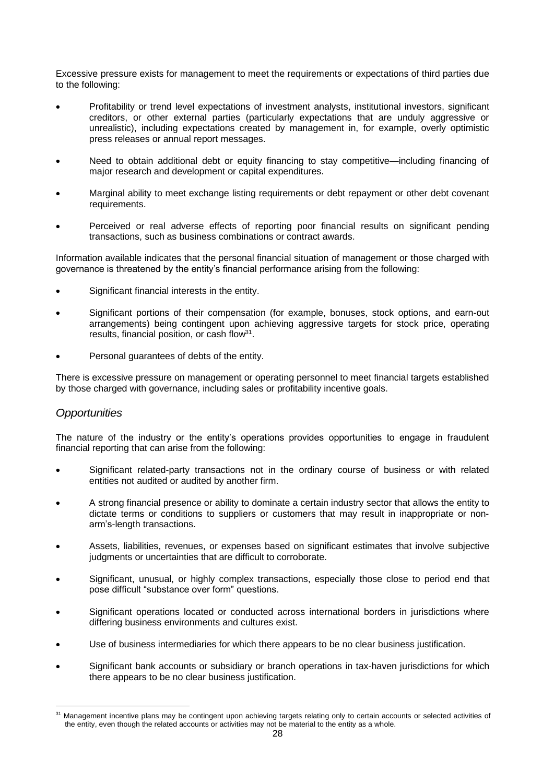Excessive pressure exists for management to meet the requirements or expectations of third parties due to the following:

- Profitability or trend level expectations of investment analysts, institutional investors, significant creditors, or other external parties (particularly expectations that are unduly aggressive or unrealistic), including expectations created by management in, for example, overly optimistic press releases or annual report messages.
- Need to obtain additional debt or equity financing to stay competitive—including financing of major research and development or capital expenditures.
- Marginal ability to meet exchange listing requirements or debt repayment or other debt covenant requirements.
- Perceived or real adverse effects of reporting poor financial results on significant pending transactions, such as business combinations or contract awards.

Information available indicates that the personal financial situation of management or those charged with governance is threatened by the entity's financial performance arising from the following:

- Significant financial interests in the entity.
- Significant portions of their compensation (for example, bonuses, stock options, and earn-out arrangements) being contingent upon achieving aggressive targets for stock price, operating results, financial position, or cash flow<sup>31</sup>.
- Personal guarantees of debts of the entity.

There is excessive pressure on management or operating personnel to meet financial targets established by those charged with governance, including sales or profitability incentive goals.

# *Opportunities*

The nature of the industry or the entity's operations provides opportunities to engage in fraudulent financial reporting that can arise from the following:

- Significant related-party transactions not in the ordinary course of business or with related entities not audited or audited by another firm.
- A strong financial presence or ability to dominate a certain industry sector that allows the entity to dictate terms or conditions to suppliers or customers that may result in inappropriate or nonarm's-length transactions.
- Assets, liabilities, revenues, or expenses based on significant estimates that involve subjective judgments or uncertainties that are difficult to corroborate.
- Significant, unusual, or highly complex transactions, especially those close to period end that pose difficult "substance over form" questions.
- Significant operations located or conducted across international borders in jurisdictions where differing business environments and cultures exist.
- Use of business intermediaries for which there appears to be no clear business justification.
- Significant bank accounts or subsidiary or branch operations in tax-haven jurisdictions for which there appears to be no clear business justification.

<sup>&</sup>lt;sup>31</sup> Management incentive plans may be contingent upon achieving targets relating only to certain accounts or selected activities of the entity, even though the related accounts or activities may not be material to the entity as a whole.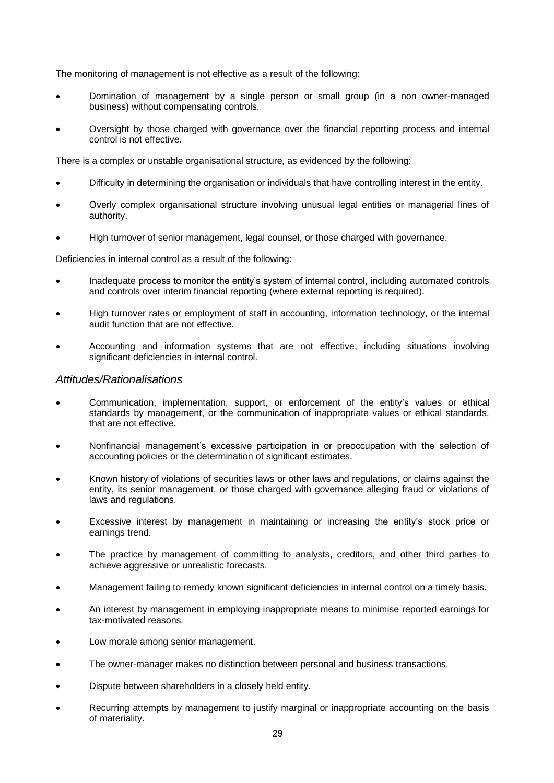The monitoring of management is not effective as a result of the following:

- Domination of management by a single person or small group (in a non owner-managed business) without compensating controls.
- Oversight by those charged with governance over the financial reporting process and internal control is not effective.

There is a complex or unstable organisational structure, as evidenced by the following:

- Difficulty in determining the organisation or individuals that have controlling interest in the entity.
- Overly complex organisational structure involving unusual legal entities or managerial lines of authority.
- High turnover of senior management, legal counsel, or those charged with governance.

Deficiencies in internal control as a result of the following:

- Inadequate process to monitor the entity's system of internal control, including automated controls and controls over interim financial reporting (where external reporting is required).
- High turnover rates or employment of staff in accounting, information technology, or the internal audit function that are not effective.
- Accounting and information systems that are not effective, including situations involving significant deficiencies in internal control.

#### *Attitudes/Rationalisations*

- Communication, implementation, support, or enforcement of the entity's values or ethical standards by management, or the communication of inappropriate values or ethical standards, that are not effective.
- Nonfinancial management's excessive participation in or preoccupation with the selection of accounting policies or the determination of significant estimates.
- Known history of violations of securities laws or other laws and regulations, or claims against the entity, its senior management, or those charged with governance alleging fraud or violations of laws and regulations.
- Excessive interest by management in maintaining or increasing the entity's stock price or earnings trend.
- The practice by management of committing to analysts, creditors, and other third parties to achieve aggressive or unrealistic forecasts.
- Management failing to remedy known significant deficiencies in internal control on a timely basis.
- An interest by management in employing inappropriate means to minimise reported earnings for tax-motivated reasons.
- Low morale among senior management.
- The owner-manager makes no distinction between personal and business transactions.
- Dispute between shareholders in a closely held entity.
- Recurring attempts by management to justify marginal or inappropriate accounting on the basis of materiality.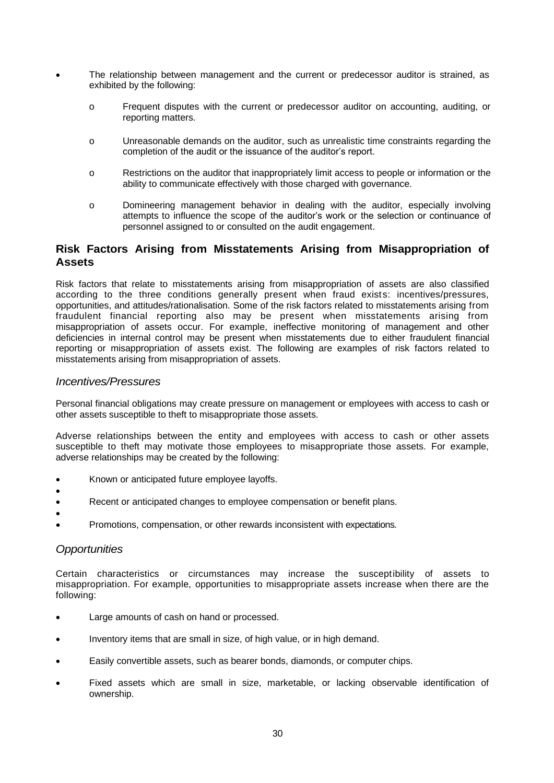- The relationship between management and the current or predecessor auditor is strained, as exhibited by the following:
	- o Frequent disputes with the current or predecessor auditor on accounting, auditing, or reporting matters.
	- o Unreasonable demands on the auditor, such as unrealistic time constraints regarding the completion of the audit or the issuance of the auditor's report.
	- o Restrictions on the auditor that inappropriately limit access to people or information or the ability to communicate effectively with those charged with governance.
	- o Domineering management behavior in dealing with the auditor, especially involving attempts to influence the scope of the auditor's work or the selection or continuance of personnel assigned to or consulted on the audit engagement.

# **Risk Factors Arising from Misstatements Arising from Misappropriation of Assets**

Risk factors that relate to misstatements arising from misappropriation of assets are also classified according to the three conditions generally present when fraud exists: incentives/pressures, opportunities, and attitudes/rationalisation. Some of the risk factors related to misstatements arising from fraudulent financial reporting also may be present when misstatements arising from misappropriation of assets occur. For example, ineffective monitoring of management and other deficiencies in internal control may be present when misstatements due to either fraudulent financial reporting or misappropriation of assets exist. The following are examples of risk factors related to misstatements arising from misappropriation of assets.

#### *Incentives/Pressures*

Personal financial obligations may create pressure on management or employees with access to cash or other assets susceptible to theft to misappropriate those assets.

Adverse relationships between the entity and employees with access to cash or other assets susceptible to theft may motivate those employees to misappropriate those assets. For example, adverse relationships may be created by the following:

- Known or anticipated future employee layoffs.
- Recent or anticipated changes to employee compensation or benefit plans.
- •
- Promotions, compensation, or other rewards inconsistent with expectations.

# *Opportunities*

Certain characteristics or circumstances may increase the susceptibility of assets to misappropriation. For example, opportunities to misappropriate assets increase when there are the following:

- Large amounts of cash on hand or processed.
- Inventory items that are small in size, of high value, or in high demand.
- Easily convertible assets, such as bearer bonds, diamonds, or computer chips.
- Fixed assets which are small in size, marketable, or lacking observable identification of ownership.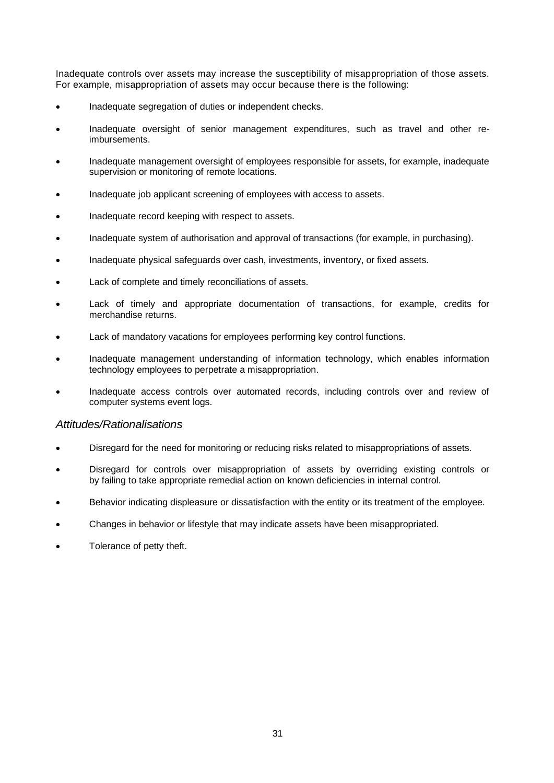Inadequate controls over assets may increase the susceptibility of misappropriation of those assets. For example, misappropriation of assets may occur because there is the following:

- Inadequate segregation of duties or independent checks.
- Inadequate oversight of senior management expenditures, such as travel and other reimbursements.
- Inadequate management oversight of employees responsible for assets, for example, inadequate supervision or monitoring of remote locations.
- Inadequate job applicant screening of employees with access to assets.
- Inadequate record keeping with respect to assets.
- Inadequate system of authorisation and approval of transactions (for example, in purchasing).
- Inadequate physical safeguards over cash, investments, inventory, or fixed assets.
- Lack of complete and timely reconciliations of assets.
- Lack of timely and appropriate documentation of transactions, for example, credits for merchandise returns.
- Lack of mandatory vacations for employees performing key control functions.
- Inadequate management understanding of information technology, which enables information technology employees to perpetrate a misappropriation.
- Inadequate access controls over automated records, including controls over and review of computer systems event logs.

#### *Attitudes/Rationalisations*

- Disregard for the need for monitoring or reducing risks related to misappropriations of assets.
- Disregard for controls over misappropriation of assets by overriding existing controls or by failing to take appropriate remedial action on known deficiencies in internal control.
- Behavior indicating displeasure or dissatisfaction with the entity or its treatment of the employee.
- Changes in behavior or lifestyle that may indicate assets have been misappropriated.
- Tolerance of petty theft.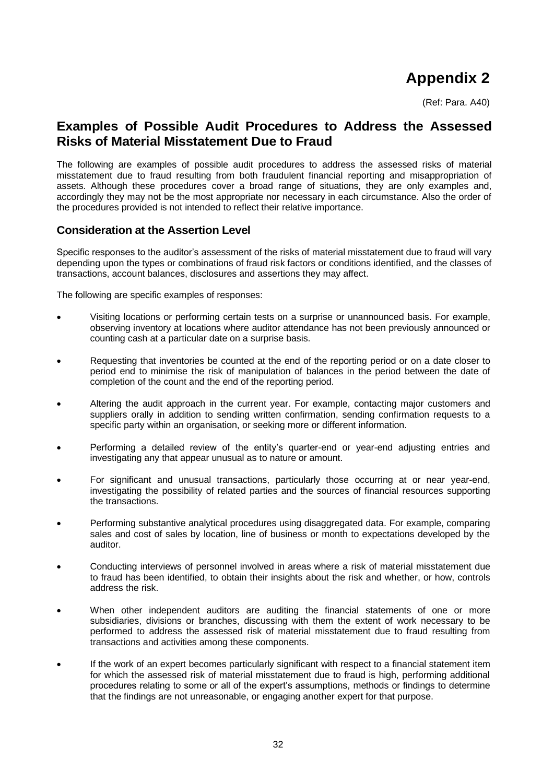# **Appendix 2**

(Ref: Para. A40)

# **Examples of Possible Audit Procedures to Address the Assessed Risks of Material Misstatement Due to Fraud**

The following are examples of possible audit procedures to address the assessed risks of material misstatement due to fraud resulting from both fraudulent financial reporting and misappropriation of assets. Although these procedures cover a broad range of situations, they are only examples and, accordingly they may not be the most appropriate nor necessary in each circumstance. Also the order of the procedures provided is not intended to reflect their relative importance.

# **Consideration at the Assertion Level**

Specific responses to the auditor's assessment of the risks of material misstatement due to fraud will vary depending upon the types or combinations of fraud risk factors or conditions identified, and the classes of transactions, account balances, disclosures and assertions they may affect.

The following are specific examples of responses:

- Visiting locations or performing certain tests on a surprise or unannounced basis. For example, observing inventory at locations where auditor attendance has not been previously announced or counting cash at a particular date on a surprise basis.
- Requesting that inventories be counted at the end of the reporting period or on a date closer to period end to minimise the risk of manipulation of balances in the period between the date of completion of the count and the end of the reporting period.
- Altering the audit approach in the current year. For example, contacting major customers and suppliers orally in addition to sending written confirmation, sending confirmation requests to a specific party within an organisation, or seeking more or different information.
- Performing a detailed review of the entity's quarter-end or year-end adjusting entries and investigating any that appear unusual as to nature or amount.
- For significant and unusual transactions, particularly those occurring at or near year-end, investigating the possibility of related parties and the sources of financial resources supporting the transactions.
- Performing substantive analytical procedures using disaggregated data. For example, comparing sales and cost of sales by location, line of business or month to expectations developed by the auditor.
- Conducting interviews of personnel involved in areas where a risk of material misstatement due to fraud has been identified, to obtain their insights about the risk and whether, or how, controls address the risk.
- When other independent auditors are auditing the financial statements of one or more subsidiaries, divisions or branches, discussing with them the extent of work necessary to be performed to address the assessed risk of material misstatement due to fraud resulting from transactions and activities among these components.
- If the work of an expert becomes particularly significant with respect to a financial statement item for which the assessed risk of material misstatement due to fraud is high, performing additional procedures relating to some or all of the expert's assumptions, methods or findings to determine that the findings are not unreasonable, or engaging another expert for that purpose.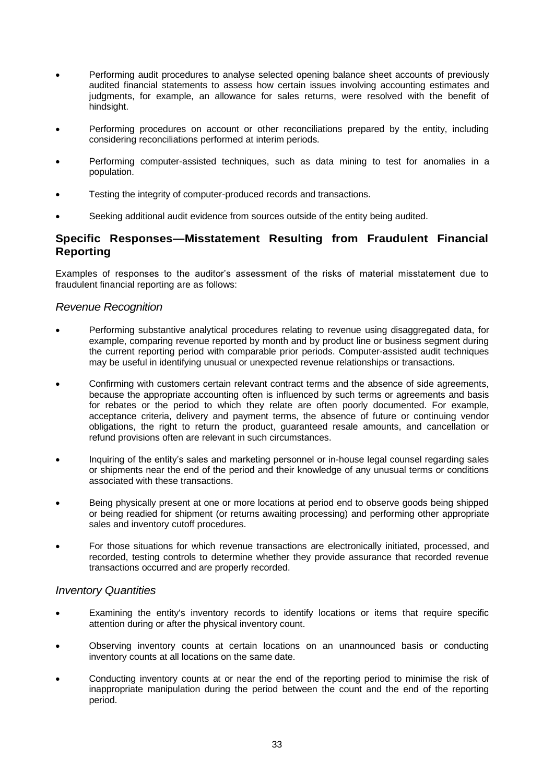- Performing audit procedures to analyse selected opening balance sheet accounts of previously audited financial statements to assess how certain issues involving accounting estimates and judgments, for example, an allowance for sales returns, were resolved with the benefit of hindsight.
- Performing procedures on account or other reconciliations prepared by the entity, including considering reconciliations performed at interim periods.
- Performing computer-assisted techniques, such as data mining to test for anomalies in a population.
- Testing the integrity of computer-produced records and transactions.
- Seeking additional audit evidence from sources outside of the entity being audited.

# **Specific Responses—Misstatement Resulting from Fraudulent Financial Reporting**

Examples of responses to the auditor's assessment of the risks of material misstatement due to fraudulent financial reporting are as follows:

#### *Revenue Recognition*

- Performing substantive analytical procedures relating to revenue using disaggregated data, for example, comparing revenue reported by month and by product line or business segment during the current reporting period with comparable prior periods. Computer-assisted audit techniques may be useful in identifying unusual or unexpected revenue relationships or transactions.
- Confirming with customers certain relevant contract terms and the absence of side agreements, because the appropriate accounting often is influenced by such terms or agreements and basis for rebates or the period to which they relate are often poorly documented. For example, acceptance criteria, delivery and payment terms, the absence of future or continuing vendor obligations, the right to return the product, guaranteed resale amounts, and cancellation or refund provisions often are relevant in such circumstances.
- Inquiring of the entity's sales and marketing personnel or in-house legal counsel regarding sales or shipments near the end of the period and their knowledge of any unusual terms or conditions associated with these transactions.
- Being physically present at one or more locations at period end to observe goods being shipped or being readied for shipment (or returns awaiting processing) and performing other appropriate sales and inventory cutoff procedures.
- For those situations for which revenue transactions are electronically initiated, processed, and recorded, testing controls to determine whether they provide assurance that recorded revenue transactions occurred and are properly recorded.

#### *Inventory Quantities*

- Examining the entity's inventory records to identify locations or items that require specific attention during or after the physical inventory count.
- Observing inventory counts at certain locations on an unannounced basis or conducting inventory counts at all locations on the same date.
- Conducting inventory counts at or near the end of the reporting period to minimise the risk of inappropriate manipulation during the period between the count and the end of the reporting period.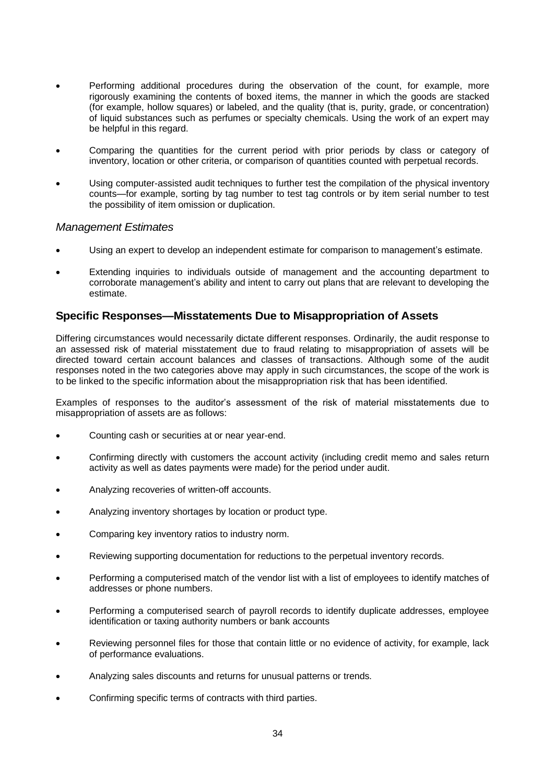- Performing additional procedures during the observation of the count, for example, more rigorously examining the contents of boxed items, the manner in which the goods are stacked (for example, hollow squares) or labeled, and the quality (that is, purity, grade, or concentration) of liquid substances such as perfumes or specialty chemicals. Using the work of an expert may be helpful in this regard.
- Comparing the quantities for the current period with prior periods by class or category of inventory, location or other criteria, or comparison of quantities counted with perpetual records.
- Using computer-assisted audit techniques to further test the compilation of the physical inventory counts—for example, sorting by tag number to test tag controls or by item serial number to test the possibility of item omission or duplication.

#### *Management Estimates*

- Using an expert to develop an independent estimate for comparison to management's estimate.
- Extending inquiries to individuals outside of management and the accounting department to corroborate management's ability and intent to carry out plans that are relevant to developing the estimate.

# **Specific Responses—Misstatements Due to Misappropriation of Assets**

Differing circumstances would necessarily dictate different responses. Ordinarily, the audit response to an assessed risk of material misstatement due to fraud relating to misappropriation of assets will be directed toward certain account balances and classes of transactions. Although some of the audit responses noted in the two categories above may apply in such circumstances, the scope of the work is to be linked to the specific information about the misappropriation risk that has been identified.

Examples of responses to the auditor's assessment of the risk of material misstatements due to misappropriation of assets are as follows:

- Counting cash or securities at or near year-end.
- Confirming directly with customers the account activity (including credit memo and sales return activity as well as dates payments were made) for the period under audit.
- Analyzing recoveries of written-off accounts.
- Analyzing inventory shortages by location or product type.
- Comparing key inventory ratios to industry norm.
- Reviewing supporting documentation for reductions to the perpetual inventory records.
- Performing a computerised match of the vendor list with a list of employees to identify matches of addresses or phone numbers.
- Performing a computerised search of payroll records to identify duplicate addresses, employee identification or taxing authority numbers or bank accounts
- Reviewing personnel files for those that contain little or no evidence of activity, for example, lack of performance evaluations.
- Analyzing sales discounts and returns for unusual patterns or trends.
- Confirming specific terms of contracts with third parties.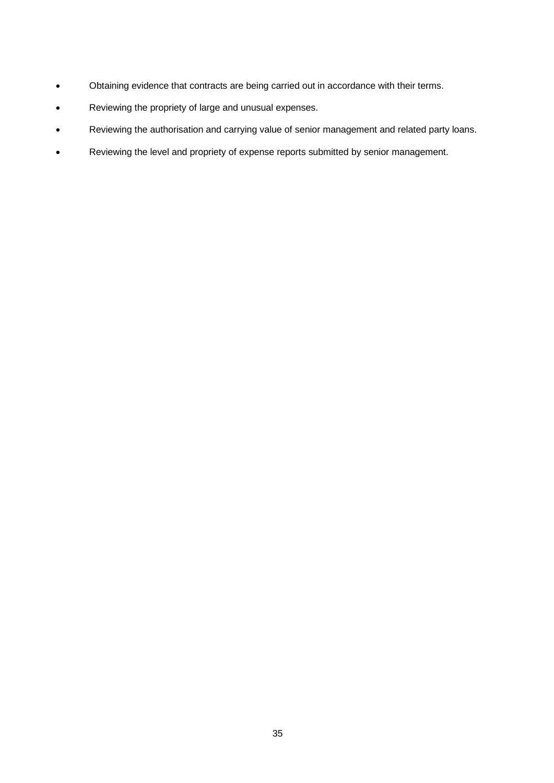- Obtaining evidence that contracts are being carried out in accordance with their terms.
- Reviewing the propriety of large and unusual expenses.
- Reviewing the authorisation and carrying value of senior management and related party loans.
- Reviewing the level and propriety of expense reports submitted by senior management.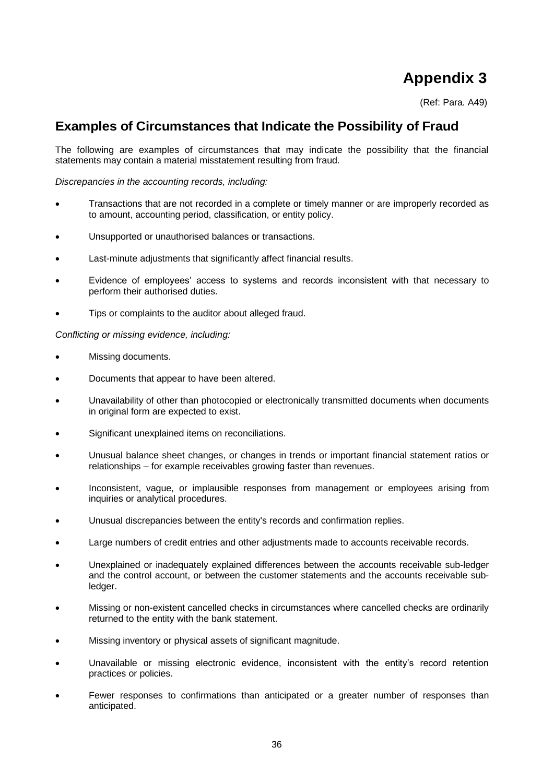# **Appendix 3**

(Ref: Para. A49)

# **Examples of Circumstances that Indicate the Possibility of Fraud**

The following are examples of circumstances that may indicate the possibility that the financial statements may contain a material misstatement resulting from fraud.

*Discrepancies in the accounting records, including:*

- Transactions that are not recorded in a complete or timely manner or are improperly recorded as to amount, accounting period, classification, or entity policy.
- Unsupported or unauthorised balances or transactions.
- Last-minute adjustments that significantly affect financial results.
- Evidence of employees' access to systems and records inconsistent with that necessary to perform their authorised duties.
- Tips or complaints to the auditor about alleged fraud.

*Conflicting or missing evidence, including:*

- Missing documents.
- Documents that appear to have been altered.
- Unavailability of other than photocopied or electronically transmitted documents when documents in original form are expected to exist.
- Significant unexplained items on reconciliations.
- Unusual balance sheet changes, or changes in trends or important financial statement ratios or relationships – for example receivables growing faster than revenues.
- Inconsistent, vague, or implausible responses from management or employees arising from inquiries or analytical procedures.
- Unusual discrepancies between the entity's records and confirmation replies.
- Large numbers of credit entries and other adjustments made to accounts receivable records.
- Unexplained or inadequately explained differences between the accounts receivable sub-ledger and the control account, or between the customer statements and the accounts receivable subledger.
- Missing or non-existent cancelled checks in circumstances where cancelled checks are ordinarily returned to the entity with the bank statement.
- Missing inventory or physical assets of significant magnitude.
- Unavailable or missing electronic evidence, inconsistent with the entity's record retention practices or policies.
- Fewer responses to confirmations than anticipated or a greater number of responses than anticipated.